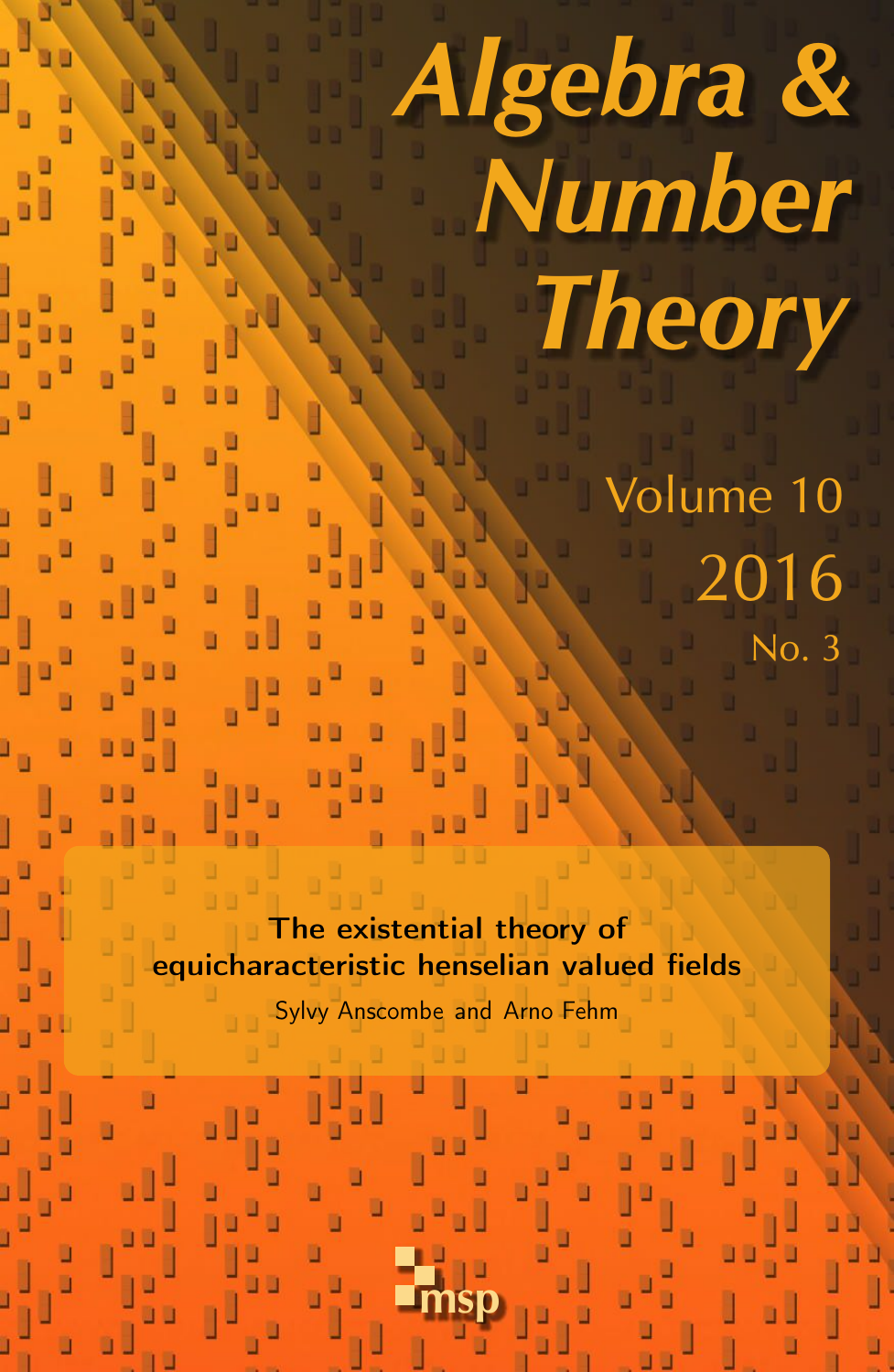# Algebra & Number **Theory**

Volume 10 2016 No. 3

The existential theory of equicharacteristic henselian valued fields

Sylvy Anscombe and Arno Fehm

msp

ú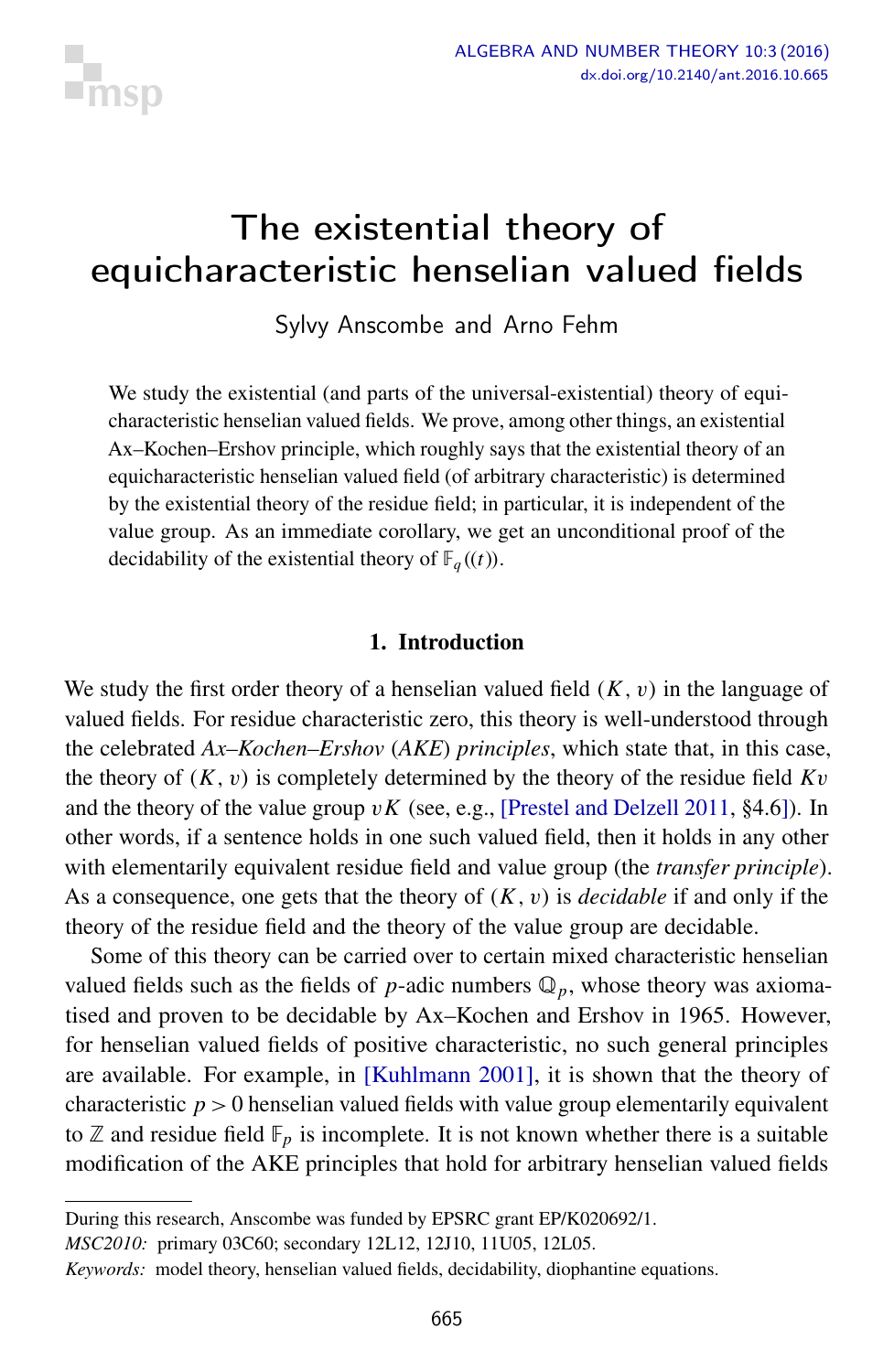

# <span id="page-1-0"></span>The existential theory of equicharacteristic henselian valued fields

Sylvy Anscombe and Arno Fehm

We study the existential (and parts of the universal-existential) theory of equicharacteristic henselian valued fields. We prove, among other things, an existential Ax–Kochen–Ershov principle, which roughly says that the existential theory of an equicharacteristic henselian valued field (of arbitrary characteristic) is determined by the existential theory of the residue field; in particular, it is independent of the value group. As an immediate corollary, we get an unconditional proof of the decidability of the existential theory of  $\mathbb{F}_q((t))$ .

#### 1. Introduction

We study the first order theory of a henselian valued field  $(K, v)$  in the language of valued fields. For residue characteristic zero, this theory is well-understood through the celebrated *Ax–Kochen–Ershov* (*AKE*) *principles*, which state that, in this case, the theory of  $(K, v)$  is completely determined by the theory of the residue field  $Kv$ and the theory of the value group  $vK$  (see, e.g., [\[Prestel and Delzell 2011,](#page-19-0) §4.6]). In other words, if a sentence holds in one such valued field, then it holds in any other with elementarily equivalent residue field and value group (the *transfer principle*). As a consequence, one gets that the theory of (*K*, v) is *decidable* if and only if the theory of the residue field and the theory of the value group are decidable.

Some of this theory can be carried over to certain mixed characteristic henselian valued fields such as the fields of *p*-adic numbers  $\mathbb{Q}_p$ , whose theory was axiomatised and proven to be decidable by Ax–Kochen and Ershov in 1965. However, for henselian valued fields of positive characteristic, no such general principles are available. For example, in [\[Kuhlmann 2001\]](#page-19-1), it is shown that the theory of characteristic  $p > 0$  henselian valued fields with value group elementarily equivalent to  $\mathbb Z$  and residue field  $\mathbb F_p$  is incomplete. It is not known whether there is a suitable modification of the AKE principles that hold for arbitrary henselian valued fields

*MSC2010:* primary 03C60; secondary 12L12, 12J10, 11U05, 12L05.

During this research, Anscombe was funded by EPSRC grant EP/K020692/1.

*Keywords:* model theory, henselian valued fields, decidability, diophantine equations.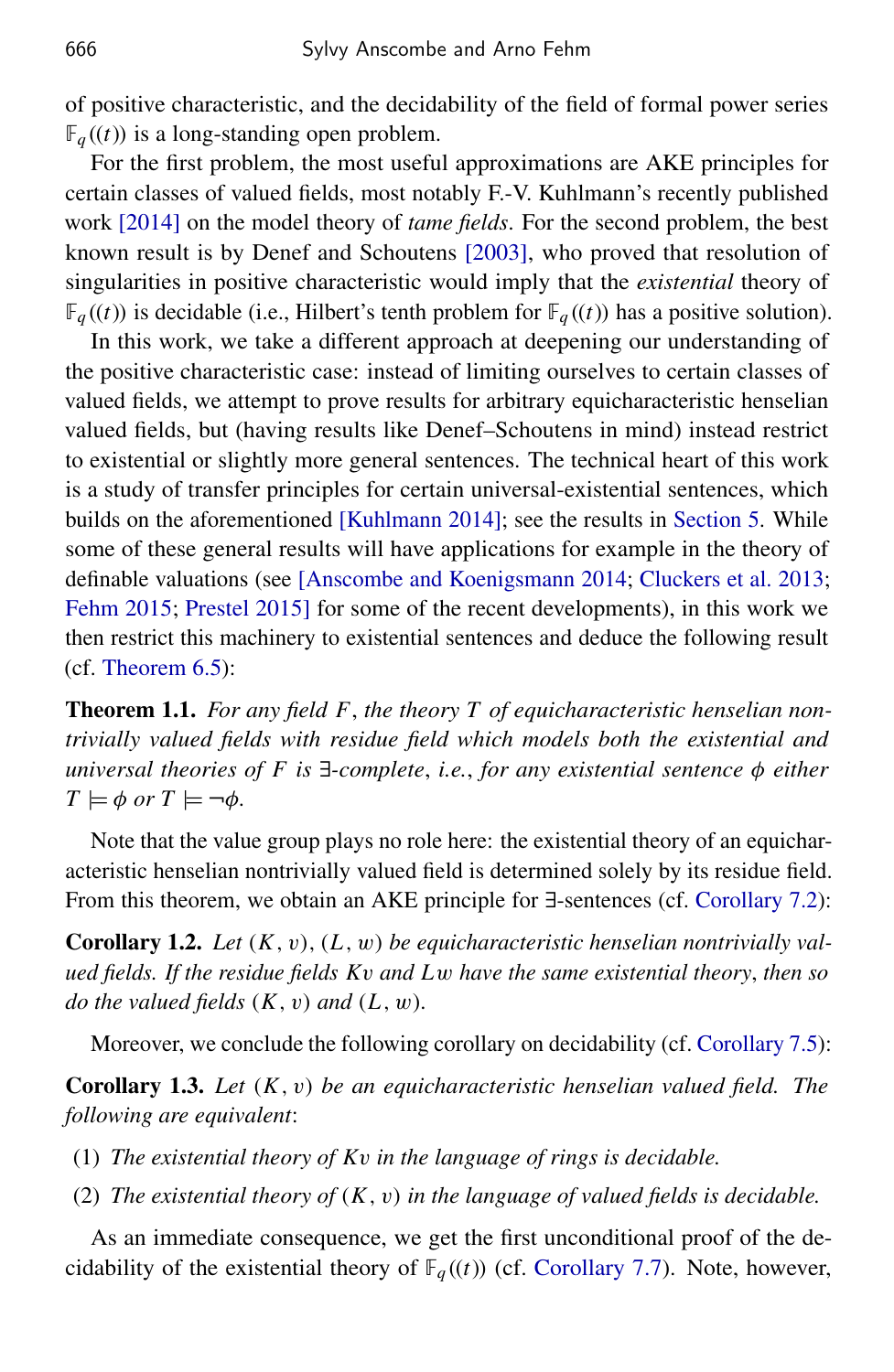of positive characteristic, and the decidability of the field of formal power series  $\mathbb{F}_q((t))$  is a long-standing open problem.

For the first problem, the most useful approximations are AKE principles for certain classes of valued fields, most notably F.-V. Kuhlmann's recently published work [\[2014\]](#page-19-2) on the model theory of *tame fields*. For the second problem, the best known result is by Denef and Schoutens [\[2003\]](#page-19-3), who proved that resolution of singularities in positive characteristic would imply that the *existential* theory of  $\mathbb{F}_q((t))$  is decidable (i.e., Hilbert's tenth problem for  $\mathbb{F}_q((t))$  has a positive solution).

In this work, we take a different approach at deepening our understanding of the positive characteristic case: instead of limiting ourselves to certain classes of valued fields, we attempt to prove results for arbitrary equicharacteristic henselian valued fields, but (having results like Denef–Schoutens in mind) instead restrict to existential or slightly more general sentences. The technical heart of this work is a study of transfer principles for certain universal-existential sentences, which builds on the aforementioned [\[Kuhlmann 2014\]](#page-19-2); see the results in [Section 5.](#page-7-0) While some of these general results will have applications for example in the theory of definable valuations (see [\[Anscombe and Koenigsmann 2014;](#page-19-4) [Cluckers et al. 2013;](#page-19-5) [Fehm 2015;](#page-19-6) [Prestel 2015\]](#page-19-7) for some of the recent developments), in this work we then restrict this machinery to existential sentences and deduce the following result (cf. [Theorem 6.5\)](#page-14-0):

<span id="page-2-0"></span>Theorem 1.1. *For any field F*, *the theory T of equicharacteristic henselian nontrivially valued fields with residue field which models both the existential and universal theories of F is* ∃*-complete*, *i.e.*, *for any existential sentence* φ *either*  $T \models \phi \text{ or } T \models \neg \phi$ .

Note that the value group plays no role here: the existential theory of an equicharacteristic henselian nontrivially valued field is determined solely by its residue field. From this theorem, we obtain an AKE principle for ∃-sentences (cf. [Corollary 7.2\)](#page-15-0):

Corollary 1.2. *Let* (*K*, v), (*L*, w) *be equicharacteristic henselian nontrivially valued fields. If the residue fields K*v *and L*w *have the same existential theory*, *then so do the valued fields* (*K*, v) *and* (*L*, w)*.*

Moreover, we conclude the following corollary on decidability (cf. [Corollary 7.5\)](#page-16-0):

<span id="page-2-1"></span>Corollary 1.3. *Let* (*K*, v) *be an equicharacteristic henselian valued field. The following are equivalent*:

- (1) *The existential theory of K*v *in the language of rings is decidable.*
- (2) *The existential theory of* (*K*, v) *in the language of valued fields is decidable.*

As an immediate consequence, we get the first unconditional proof of the decidability of the existential theory of  $\mathbb{F}_q((t))$  (cf. [Corollary 7.7\)](#page-17-0). Note, however,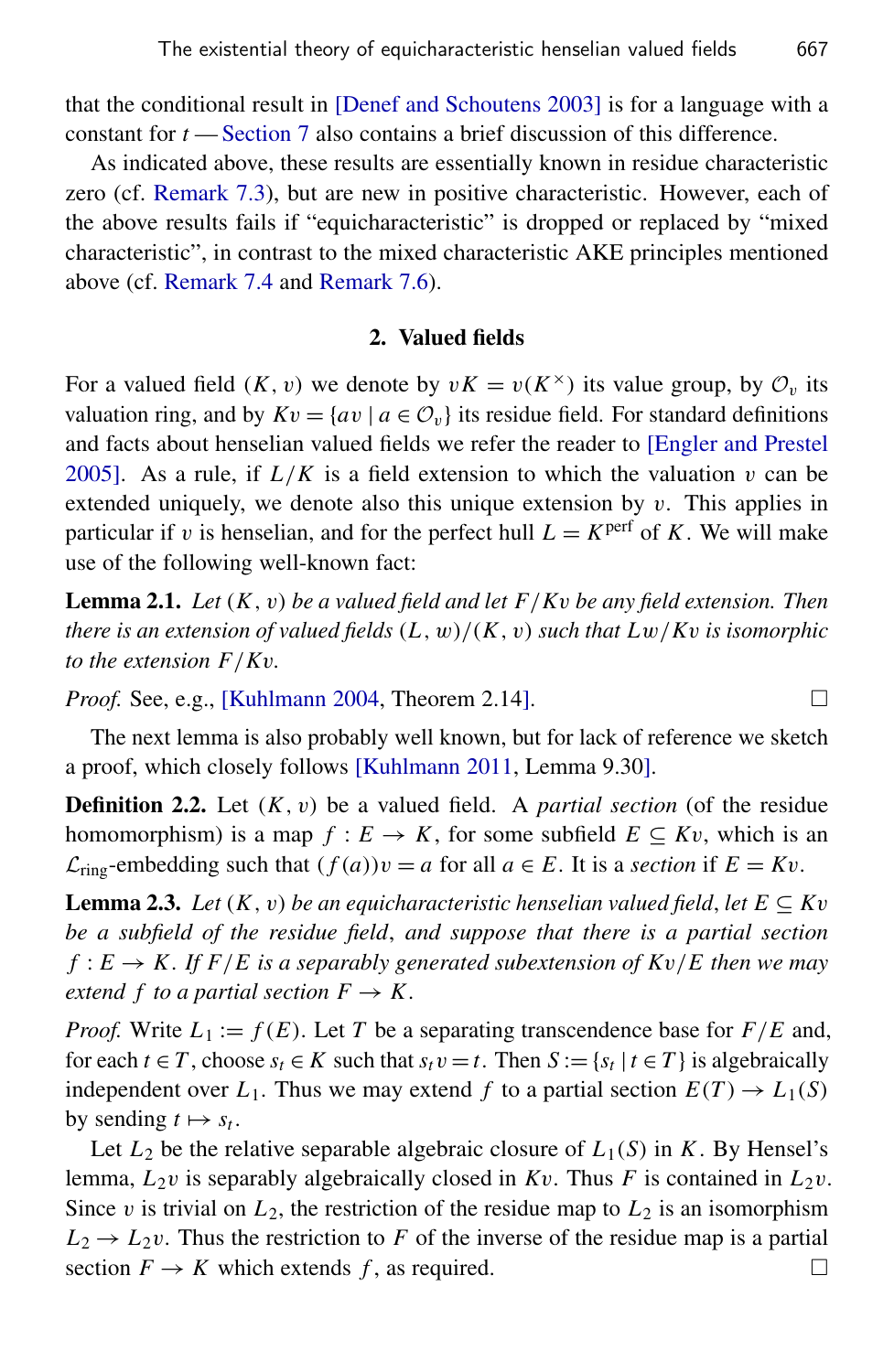that the conditional result in [\[Denef and Schoutens 2003\]](#page-19-3) is for a language with a constant for *t* — [Section 7](#page-15-1) also contains a brief discussion of this difference.

As indicated above, these results are essentially known in residue characteristic zero (cf. [Remark 7.3\)](#page-15-2), but are new in positive characteristic. However, each of the above results fails if "equicharacteristic" is dropped or replaced by "mixed characteristic", in contrast to the mixed characteristic AKE principles mentioned above (cf. [Remark 7.4](#page-16-1) and [Remark 7.6\)](#page-17-1).

#### 2. Valued fields

For a valued field  $(K, v)$  we denote by  $vK = v(K^{\times})$  its value group, by  $\mathcal{O}_v$  its valuation ring, and by  $Kv = \{av \mid a \in \mathcal{O}_v\}$  its residue field. For standard definitions and facts about henselian valued fields we refer the reader to [\[Engler and Prestel](#page-19-8) [2005\]](#page-19-8). As a rule, if  $L/K$  is a field extension to which the valuation v can be extended uniquely, we denote also this unique extension by  $v$ . This applies in particular if v is henselian, and for the perfect hull  $L = K<sup>perf</sup>$  of *K*. We will make use of the following well-known fact:

<span id="page-3-1"></span>Lemma 2.1. *Let* (*K*, v) *be a valued field and let F*/*K*v *be any field extension. Then there is an extension of valued fields* (*L*, w)/(*K*, v) *such that L*w/*K*v *is isomorphic to the extension F*/*K*v*.*

*Proof.* See, e.g., [\[Kuhlmann 2004,](#page-19-9) Theorem 2.14].  $\Box$ 

The next lemma is also probably well known, but for lack of reference we sketch a proof, which closely follows [\[Kuhlmann 2011,](#page-19-10) Lemma 9.30].

Definition 2.2. Let (*K*, v) be a valued field. A *partial section* (of the residue homomorphism) is a map  $f : E \to K$ , for some subfield  $E \subseteq Kv$ , which is an  $\mathcal{L}_{\text{ring}}$ -embedding such that  $(f(a))v = a$  for all  $a \in E$ . It is a *section* if  $E = Kv$ .

<span id="page-3-0"></span>**Lemma 2.3.** Let  $(K, v)$  be an equicharacteristic henselian valued field, let  $E \subseteq Kv$ *be a subfield of the residue field*, *and suppose that there is a partial section*  $f: E \to K$ . If  $F/E$  is a separably generated subextension of  $Kv/E$  then we may *extend f to a partial section*  $F \to K$ .

*Proof.* Write  $L_1 := f(E)$ . Let *T* be a separating transcendence base for  $F/E$  and, for each  $t \in T$ , choose  $s_t \in K$  such that  $s_t v = t$ . Then  $S := \{s_t | t \in T\}$  is algebraically independent over  $L_1$ . Thus we may extend f to a partial section  $E(T) \rightarrow L_1(S)$ by sending  $t \mapsto s_t$ .

Let  $L_2$  be the relative separable algebraic closure of  $L_1(S)$  in *K*. By Hensel's lemma,  $L_2v$  is separably algebraically closed in  $Kv$ . Thus *F* is contained in  $L_2v$ . Since v is trivial on  $L_2$ , the restriction of the residue map to  $L_2$  is an isomorphism  $L_2 \rightarrow L_2 v$ . Thus the restriction to *F* of the inverse of the residue map is a partial section  $F \to K$  which extends f, as required.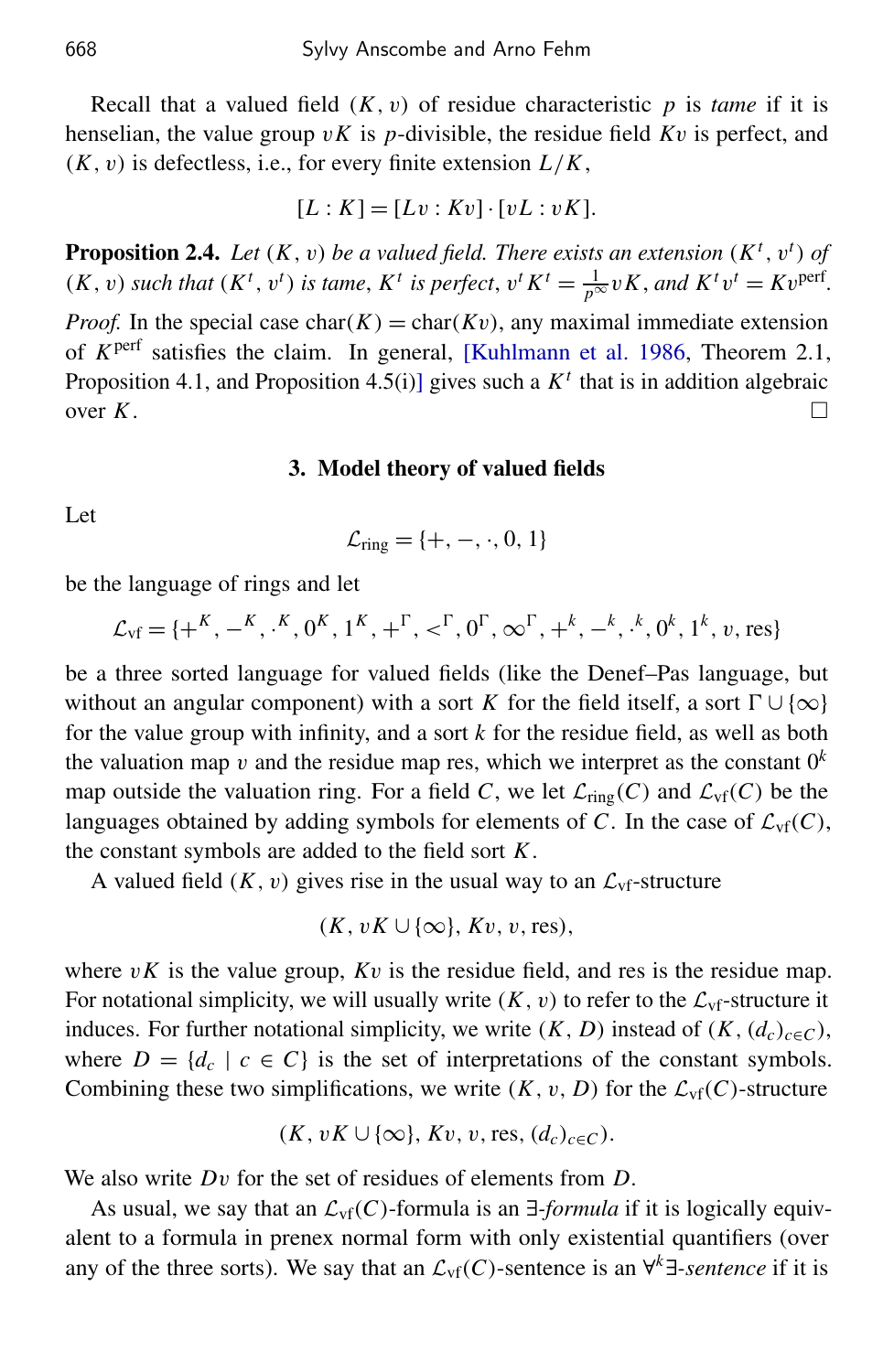Recall that a valued field  $(K, v)$  of residue characteristic  $p$  is *tame* if it is henselian, the value group v*K* is *p*-divisible, the residue field *K*v is perfect, and (*K*, v) is defectless, i.e., for every finite extension *L*/*K*,

$$
[L:K] = [Lv: Kv] \cdot [vL : vK].
$$

<span id="page-4-0"></span>**Proposition 2.4.** Let  $(K, v)$  be a valued field. There exists an extension  $(K^t, v^t)$  of  $(K, v)$  such that  $(K<sup>t</sup>, v<sup>t</sup>)$  is tame,  $K<sup>t</sup>$  is perfect,  $v<sup>t</sup> K<sup>t</sup> = \frac{1}{p^{\infty}} v K$ , and  $K<sup>t</sup> v<sup>t</sup> = K v<sup>perf</sup>$ .

*Proof.* In the special case char( $K$ ) = char( $Kv$ ), any maximal immediate extension of *K* perf satisfies the claim. In general, [\[Kuhlmann et al. 1986,](#page-19-11) Theorem 2.1, Proposition 4.1, and Proposition 4.5(i)] gives such a  $K<sup>t</sup>$  that is in addition algebraic over  $K$ .

#### 3. Model theory of valued fields

Let

$$
\mathcal{L}_{ring} = \{+, -, \cdot, 0, 1\}
$$

be the language of rings and let

$$
\mathcal{L}_{\rm vf} = \{ +^K, -^K, \cdot^K, 0^K, 1^K, +^{\Gamma}, <^{\Gamma}, 0^{\Gamma}, \infty^{\Gamma}, +^k, -^k, \cdot^k, 0^k, 1^k, v, \text{res} \}
$$

be a three sorted language for valued fields (like the Denef–Pas language, but without an angular component) with a sort *K* for the field itself, a sort  $\Gamma \cup \{\infty\}$ for the value group with infinity, and a sort *k* for the residue field, as well as both the valuation map  $v$  and the residue map res, which we interpret as the constant  $0^k$ map outside the valuation ring. For a field *C*, we let  $\mathcal{L}_{\text{ring}}(C)$  and  $\mathcal{L}_{\text{vf}}(C)$  be the languages obtained by adding symbols for elements of *C*. In the case of  $\mathcal{L}_{\text{vf}}(C)$ , the constant symbols are added to the field sort *K*.

A valued field  $(K, v)$  gives rise in the usual way to an  $\mathcal{L}_{Vf}$ -structure

$$
(K, vK \cup {\infty}, Kv, v, res),
$$

where  $vK$  is the value group,  $Kv$  is the residue field, and res is the residue map. For notational simplicity, we will usually write  $(K, v)$  to refer to the  $\mathcal{L}_{Vf}$ -structure it induces. For further notational simplicity, we write  $(K, D)$  instead of  $(K, (d_c)_{c \in C})$ , where  $D = \{d_c \mid c \in C\}$  is the set of interpretations of the constant symbols. Combining these two simplifications, we write  $(K, v, D)$  for the  $\mathcal{L}_{\text{vf}}(C)$ -structure

$$
(K, vK \cup \{\infty\}, Kv, v, res, (d_c)_{c \in C}).
$$

We also write *D*v for the set of residues of elements from *D*.

As usual, we say that an  $\mathcal{L}_{\text{vf}}(C)$ -formula is an  $\exists$ -*formula* if it is logically equivalent to a formula in prenex normal form with only existential quantifiers (over any of the three sorts). We say that an  $\mathcal{L}_{\text{vf}}(C)$ -sentence is an  $\forall^{k} \exists$ -sentence if it is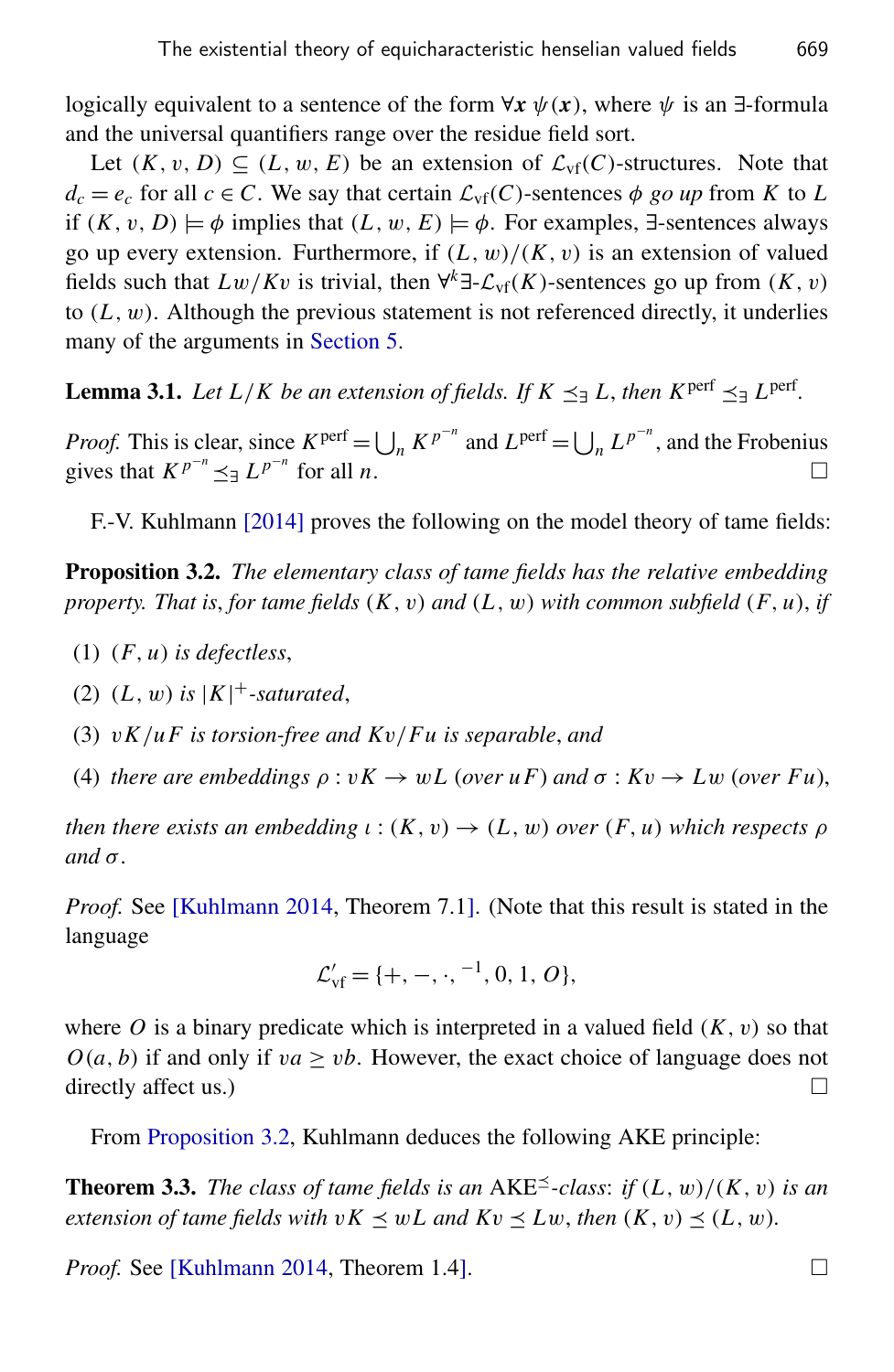logically equivalent to a sentence of the form  $\forall x \psi(x)$ , where  $\psi$  is an  $\exists$ -formula and the universal quantifiers range over the residue field sort.

Let  $(K, v, D) \subseteq (L, w, E)$  be an extension of  $\mathcal{L}_{\text{vf}}(C)$ -structures. Note that  $d_c = e_c$  for all  $c \in C$ . We say that certain  $\mathcal{L}_{\text{vf}}(C)$ -sentences  $\phi$  *go up* from *K* to *L* if  $(K, v, D) \models \phi$  implies that  $(L, w, E) \models \phi$ . For examples, ∃-sentences always go up every extension. Furthermore, if  $(L, w)/(K, v)$  is an extension of valued fields such that  $Lw/Kv$  is trivial, then  $\forall^k \exists \mathcal{L}_{\text{vf}}(K)$ -sentences go up from  $(K, v)$ to  $(L, w)$ . Although the previous statement is not referenced directly, it underlies many of the arguments in [Section 5.](#page-7-0)

<span id="page-5-2"></span>**Lemma 3.1.** *Let*  $L/K$  *be an extension of fields. If*  $K \leq \exists L$ , *then*  $K^{\text{perf}} \leq \exists L^{\text{perf}}$ .

*Proof.* This is clear, since  $K^{\text{perf}} = \bigcup_n K^{p^{-n}}$  and  $L^{\text{perf}} = \bigcup_n L^{p^{-n}}$ , and the Frobenius gives that  $K^{p^{-n}} \leq L^{p^{-n}}$  for all *n*.

F.-V. Kuhlmann [\[2014\]](#page-19-2) proves the following on the model theory of tame fields:

<span id="page-5-0"></span>Proposition 3.2. *The elementary class of tame fields has the relative embedding property. That is*, *for tame fields* (*K*, v) *and* (*L*, w) *with common subfield* (*F*, *u*), *if*

- (1) (*F*, *u*) *is defectless*,
- (2)  $(L, w)$  *is*  $|K|$ <sup>+</sup>-saturated,
- (3) v*K*/*u F is torsion-free and K*v/*Fu is separable*, *and*
- (4) *there are embeddings*  $\rho : vK \to wL$  (*over*  $uF$ *)* and  $\sigma : Kv \to Lw$  (*over*  $Fu$ *)*,

*then there exists an embedding*  $\iota$  :  $(K, v) \rightarrow (L, w)$  *over*  $(F, u)$  *which respects*  $\rho$ *and* σ*.*

*Proof.* See [\[Kuhlmann 2014,](#page-19-2) Theorem 7.1]. (Note that this result is stated in the language

$$
\mathcal{L}'_{vf} = \{+, -, \cdot, ^{-1}, 0, 1, O\},\
$$

where O is a binary predicate which is interpreted in a valued field  $(K, v)$  so that  $O(a, b)$  if and only if  $va \geq vb$ . However, the exact choice of language does not directly affect us.)

From [Proposition 3.2,](#page-5-0) Kuhlmann deduces the following AKE principle:

<span id="page-5-1"></span>**Theorem 3.3.** *The class of tame fields is an* AKE<sup> $\leq$ </sup>-class: *if*  $(L, w)/(K, v)$  *is an extension of tame fields with*  $vK \leq wL$  *and*  $Kv \leq Lw$ *, then*  $(K, v) \leq (L, w)$ *.* 

*Proof.* See [\[Kuhlmann 2014,](#page-19-2) Theorem 1.4]. □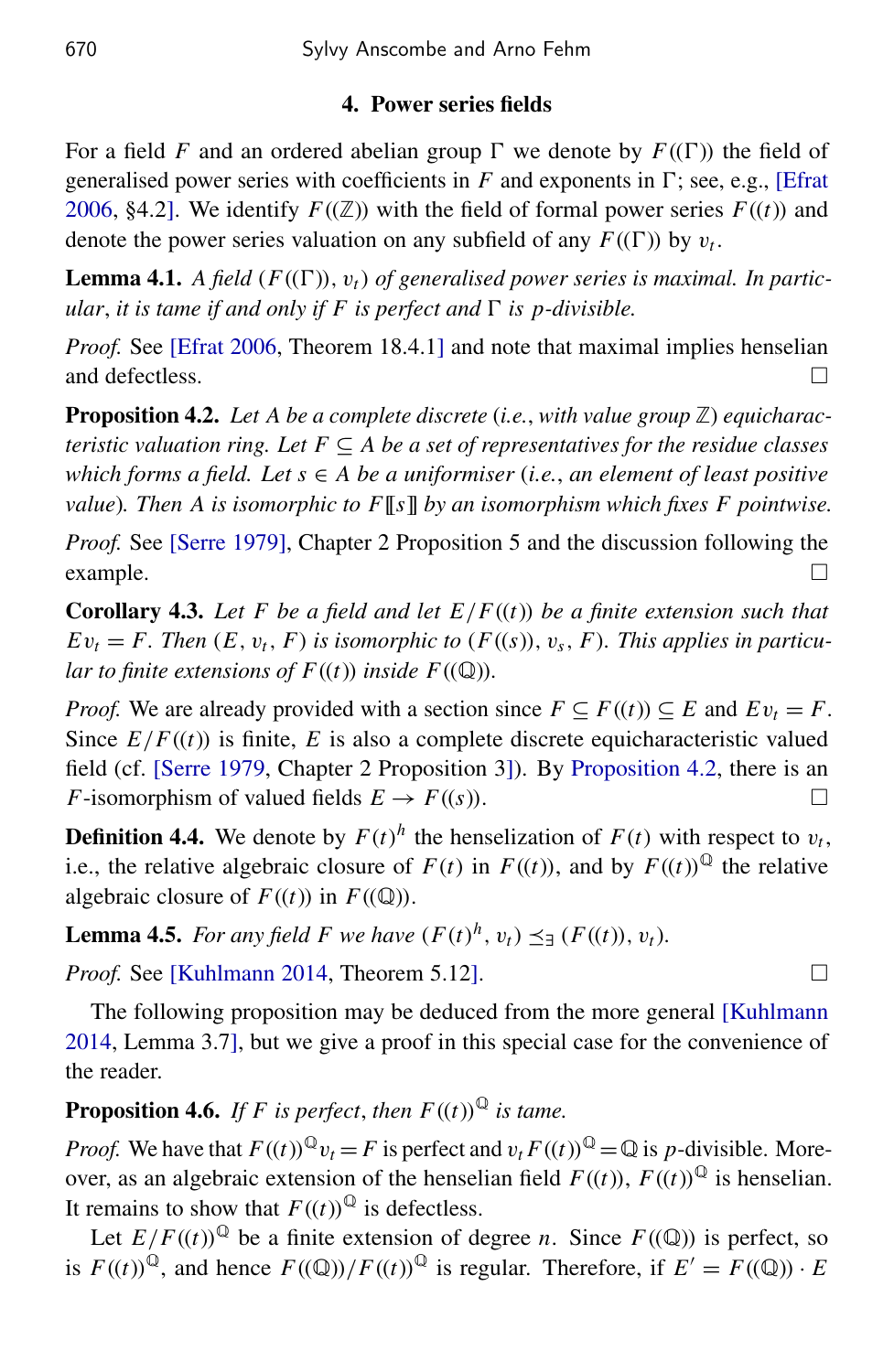## 4. Power series fields

For a field *F* and an ordered abelian group  $\Gamma$  we denote by  $F((\Gamma))$  the field of generalised power series with coefficients in  $F$  and exponents in  $\Gamma$ ; see, e.g., [\[Efrat](#page-19-12)] [2006,](#page-19-12) §4.2]. We identify  $F((\mathbb{Z}))$  with the field of formal power series  $F((t))$  and denote the power series valuation on any subfield of any  $F((\Gamma))$  by  $v_t$ .

<span id="page-6-1"></span>**Lemma 4.1.** A field  $(F((\Gamma)), v_t)$  of generalised power series is maximal. In partic*ular, it is tame if and only if F is perfect and*  $\Gamma$  *is p-divisible.* 

*Proof.* See [\[Efrat 2006,](#page-19-12) Theorem 18.4.1] and note that maximal implies henselian and defectless.

<span id="page-6-0"></span>**Proposition 4.2.** Let A be a complete discrete (*i.e.*, *with value group*  $\mathbb{Z}$ ) *equicharacteristic valuation ring. Let*  $F \subseteq A$  *be a set of representatives for the residue classes which forms a field. Let s* ∈ *A be a uniformiser* (*i.e.*, *an element of least positive value*)*. Then A is isomorphic to F*[[*s*]] *by an isomorphism which fixes F pointwise.*

*Proof.* See [\[Serre 1979\]](#page-19-13), Chapter 2 Proposition 5 and the discussion following the  $\Box$  example.

<span id="page-6-3"></span>**Corollary 4.3.** Let F be a field and let  $E/F((t))$  be a finite extension such that  $Ev_t = F$ . Then  $(E, v_t, F)$  is isomorphic to  $(F((s)), v_s, F)$ . This applies in particu*lar to finite extensions of*  $F((t))$  *inside*  $F((\mathbb{Q}))$ *.* 

*Proof.* We are already provided with a section since  $F \subseteq F((t)) \subseteq E$  and  $Ev_t = F$ . Since  $E/F((t))$  is finite, *E* is also a complete discrete equicharacteristic valued field (cf. [\[Serre 1979,](#page-19-13) Chapter 2 Proposition 3]). By [Proposition 4.2,](#page-6-0) there is an *F*-isomorphism of valued fields  $E \to F((s))$ .

**Definition 4.4.** We denote by  $F(t)^h$  the henselization of  $F(t)$  with respect to  $v_t$ , i.e., the relative algebraic closure of  $F(t)$  in  $F((t))$ , and by  $F((t))^{\mathbb{Q}}$  the relative algebraic closure of  $F((t))$  in  $F((\mathbb{Q}))$ .

<span id="page-6-4"></span>**Lemma 4.5.** *For any field F* we have  $(F(t)^h, v_t) \preceq_{\exists} (F((t)), v_t)$ *.* 

*Proof.* See [\[Kuhlmann 2014,](#page-19-2) Theorem 5.12]. □

The following proposition may be deduced from the more general [\[Kuhlmann](#page-19-2) [2014,](#page-19-2) Lemma 3.7], but we give a proof in this special case for the convenience of the reader.

<span id="page-6-2"></span>**Proposition 4.6.** *If F is perfect, then*  $F((t))$ <sup> $\mathbb{Q}$ </sup> *is tame.* 

*Proof.* We have that  $F((t))^{Q}v_t = F$  is perfect and  $v_t F((t))^{Q} = Q$  is *p*-divisible. Moreover, as an algebraic extension of the henselian field  $F((t))$ ,  $F((t))^{\mathbb{Q}}$  is henselian. It remains to show that  $F((t))^{\mathbb{Q}}$  is defectless.

Let  $E/F((t))^{\mathbb{Q}}$  be a finite extension of degree *n*. Since  $F((\mathbb{Q}))$  is perfect, so is  $F((t))^{\mathbb{Q}}$ , and hence  $F((\mathbb{Q}))/F((t))^{\mathbb{Q}}$  is regular. Therefore, if  $E' = F((\mathbb{Q})) \cdot E$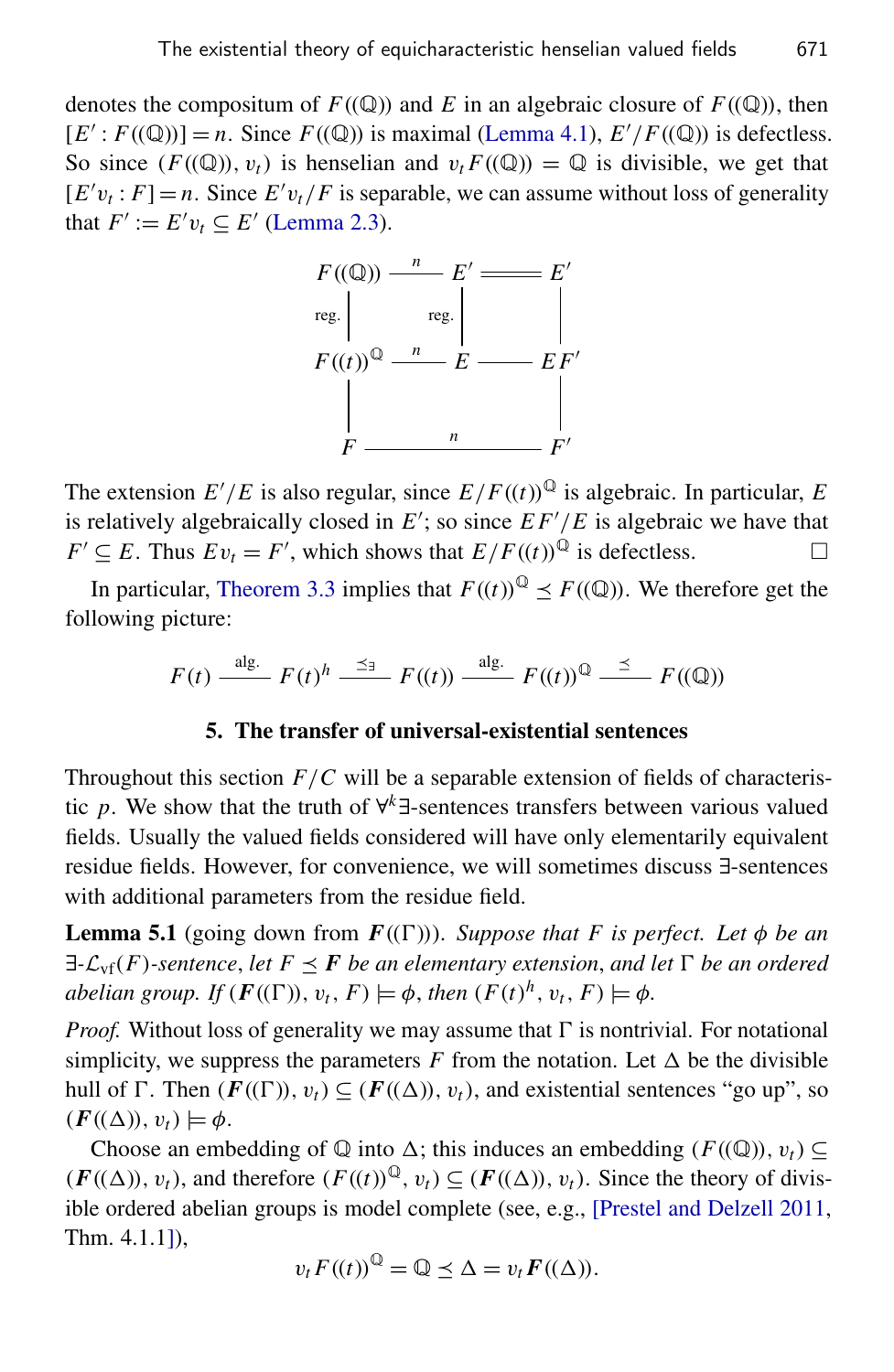denotes the compositum of  $F((\mathbb{Q}))$  and *E* in an algebraic closure of  $F((\mathbb{Q}))$ , then  $[E': F((\mathbb{Q}))] = n$ . Since  $F((\mathbb{Q}))$  is maximal [\(Lemma 4.1\)](#page-6-1),  $E'/F((\mathbb{Q}))$  is defectless. So since  $(F((\mathbb{Q}))$ ,  $v_t)$  is henselian and  $v_t F((\mathbb{Q})) = \mathbb{Q}$  is divisible, we get that  $[E'v_t : F] = n$ . Since  $E'v_t/F$  is separable, we can assume without loss of generality that  $F' := E' v_t \subseteq E'$  [\(Lemma 2.3\)](#page-3-0).



The extension  $E'/E$  is also regular, since  $E/F((t))^{\mathbb{Q}}$  is algebraic. In particular, *E* is relatively algebraically closed in  $E'$ ; so since  $EF'/E$  is algebraic we have that  $F' \subseteq E$ . Thus  $Ev_t = F'$ , which shows that  $E/F((t))^{\mathbb{Q}}$  is defectless.

In particular, [Theorem 3.3](#page-5-1) implies that  $F((t))^{\mathbb{Q}} \leq F((\mathbb{Q}))$ . We therefore get the following picture:

$$
F(t) \xrightarrow{\text{alg.}} F(t)^h \xrightarrow{\preceq_{\exists}} F((t)) \xrightarrow{\text{alg.}} F((t))^{\mathbb{Q}} \xrightarrow{\preceq} F((\mathbb{Q}))
$$

#### 5. The transfer of universal-existential sentences

<span id="page-7-0"></span>Throughout this section  $F/C$  will be a separable extension of fields of characteristic *p*. We show that the truth of ∀ *<sup>k</sup>*∃-sentences transfers between various valued fields. Usually the valued fields considered will have only elementarily equivalent residue fields. However, for convenience, we will sometimes discuss ∃-sentences with additional parameters from the residue field.

<span id="page-7-1"></span>**Lemma 5.1** (going down from  $F((\Gamma)))$ . *Suppose that F is perfect. Let*  $\phi$  *be an*  $\exists$ - $\mathcal{L}_{\text{vf}}(F)$ -sentence, let  $F \leq F$  *be an elementary extension, and let*  $\Gamma$  *be an ordered abelian group. If*  $(F((\Gamma)), v_t, F) \models \phi$ , *then*  $(F(t)^h, v_t, F) \models \phi$ .

*Proof.* Without loss of generality we may assume that  $\Gamma$  is nontrivial. For notational simplicity, we suppress the parameters  $F$  from the notation. Let  $\Delta$  be the divisible hull of  $\Gamma$ . Then  $(F((\Gamma)), v_t) \subseteq (F((\Delta)), v_t)$ , and existential sentences "go up", so  $(F((\Delta)), v_t) \models \phi.$ 

Choose an embedding of  $\mathbb Q$  into  $\Delta$ ; this induces an embedding ( $F((\mathbb Q))$ ,  $v_t$ ) ⊂  $(F((\Delta)), v_t)$ , and therefore  $(F((t))^{\mathbb{Q}}, v_t) \subseteq (F((\Delta)), v_t)$ . Since the theory of divisible ordered abelian groups is model complete (see, e.g., [\[Prestel and Delzell 2011,](#page-19-0) Thm. 4.1.1]),

$$
v_t F((t))^{\mathbb{Q}} = \mathbb{Q} \preceq \Delta = v_t F((\Delta)).
$$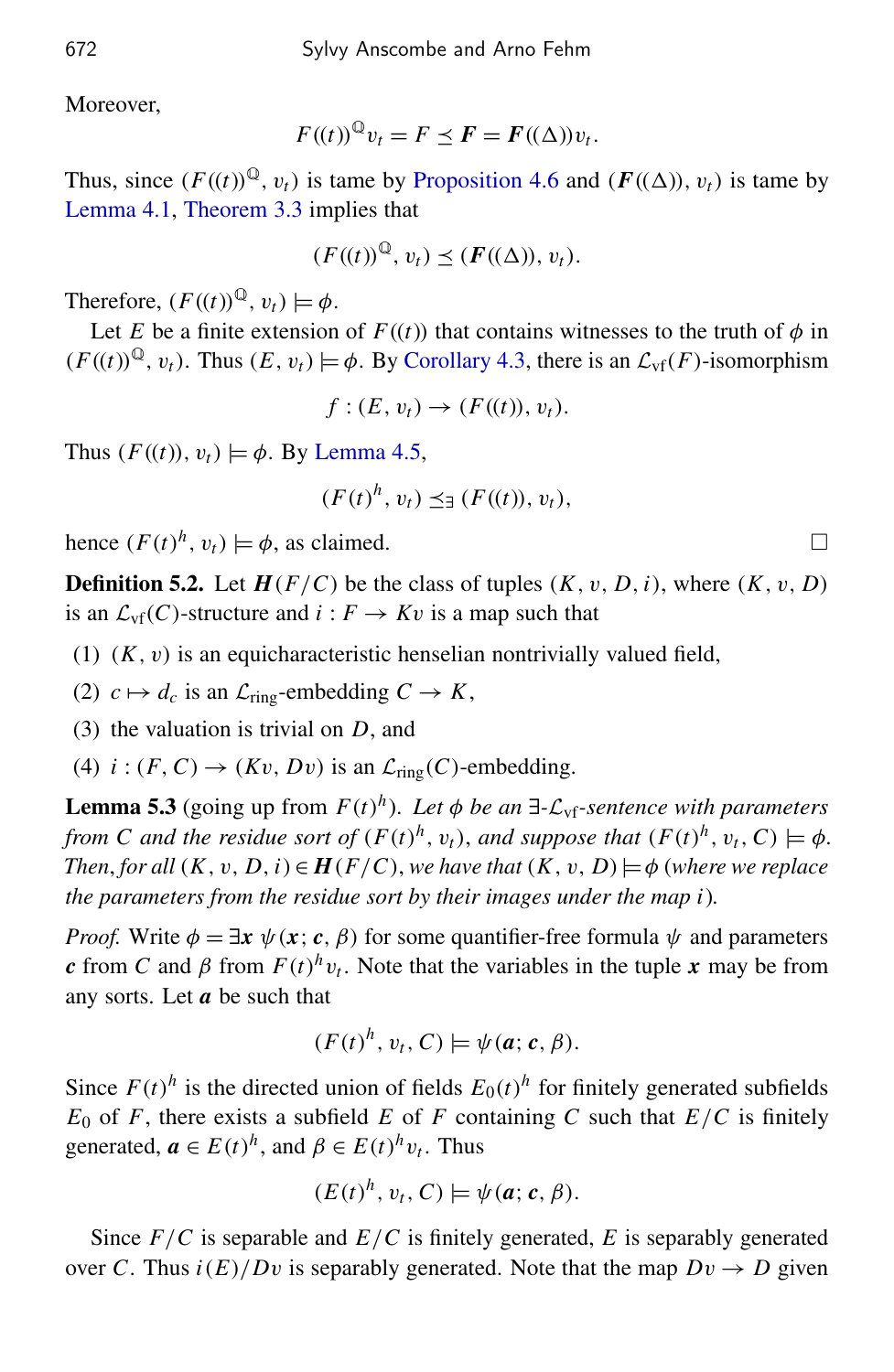Moreover,

$$
F((t))^{\mathbb{Q}}v_t = F \preceq F = F((\Delta))v_t.
$$

Thus, since  $(F((t))^{\mathbb{Q}}, v_t)$  is tame by [Proposition 4.6](#page-6-2) and  $(F((\Delta)), v_t)$  is tame by [Lemma 4.1,](#page-6-1) [Theorem 3.3](#page-5-1) implies that

$$
(F((t))^\mathbb{Q}, v_t) \preceq (F((\Delta)), v_t).
$$

Therefore,  $(F((t))^{\mathbb{Q}}, v_t) \models \phi$ .

Let *E* be a finite extension of  $F((t))$  that contains witnesses to the truth of  $\phi$  in  $(F((t))^{\mathbb{Q}}, v_t)$ . Thus  $(E, v_t) \models \phi$ . By [Corollary 4.3,](#page-6-3) there is an  $\mathcal{L}_{\text{vf}}(F)$ -isomorphism

$$
f:(E,v_t)\to (F((t)),v_t).
$$

Thus  $(F((t)), v_t) \models \phi$ . By [Lemma 4.5,](#page-6-4)

$$
(F(t)^h, v_t) \preceq_{\exists} (F((t)), v_t),
$$

hence  $(F(t)^h, v_t) \models \phi$ , as claimed.

**Definition 5.2.** Let  $H(F/C)$  be the class of tuples  $(K, v, D, i)$ , where  $(K, v, D)$ is an  $\mathcal{L}_{\text{vf}}(C)$ -structure and  $i : F \to Kv$  is a map such that

- (1)  $(K, v)$  is an equicharacteristic henselian nontrivially valued field,
- (2)  $c \mapsto d_c$  is an  $\mathcal{L}_{\text{ring}}$ -embedding  $C \rightarrow K$ ,
- (3) the valuation is trivial on *D*, and
- (4)  $i:(F, C) \rightarrow (Kv, Dv)$  is an  $\mathcal{L}_{ring}(C)$ -embedding.

<span id="page-8-0"></span>**Lemma 5.3** (going up from  $F(t)^h$ ). Let  $\phi$  be an  $\exists$ - $\mathcal{L}_{\text{vf}}$ -sentence with parameters *from C and the residue sort of*  $(F(t)^h, v_t)$ , *and suppose that*  $(F(t)^h, v_t, C) \models \phi$ . *Then*, *for all*  $(K, v, D, i) \in H(F/C)$ , *we have that*  $(K, v, D) \models \phi$  (*where we replace the parameters from the residue sort by their images under the map i*)*.*

*Proof.* Write  $\phi = \exists x \ \psi(x; c, \beta)$  for some quantifier-free formula  $\psi$  and parameters *c* from *C* and  $\beta$  from  $F(t)^h v_t$ . Note that the variables in the tuple *x* may be from any sorts. Let *a* be such that

$$
(F(t)^h, v_t, C) \models \psi(a; c, \beta).
$$

Since  $F(t)^h$  is the directed union of fields  $E_0(t)^h$  for finitely generated subfields  $E_0$  of *F*, there exists a subfield *E* of *F* containing *C* such that  $E/C$  is finitely generated,  $\mathbf{a} \in E(t)^h$ , and  $\beta \in E(t)^h v_t$ . Thus

$$
(E(t)^h, v_t, C) \models \psi(a; c, \beta).
$$

Since *F*/*C* is separable and *E*/*C* is finitely generated, *E* is separably generated over *C*. Thus  $i(E)/Dv$  is separably generated. Note that the map  $Dv \rightarrow D$  given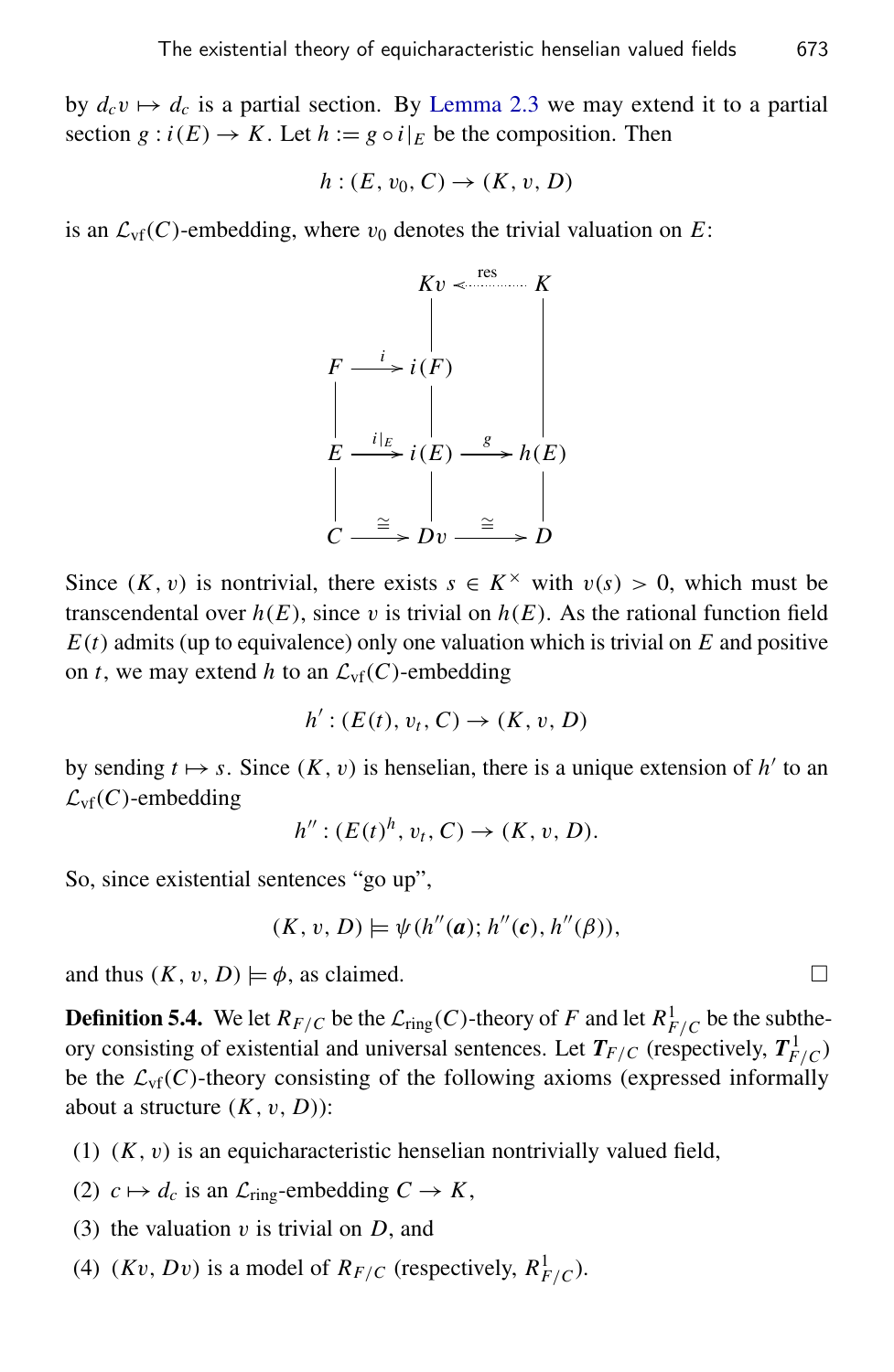by  $d_c v \mapsto d_c$  is a partial section. By [Lemma 2.3](#page-3-0) we may extend it to a partial section  $g : i(E) \to K$ . Let  $h := g \circ i|_E$  be the composition. Then

$$
h:(E,v_0,C)\to (K,v,D)
$$

is an  $\mathcal{L}_{\text{vf}}(C)$ -embedding, where  $v_0$  denotes the trivial valuation on *E*:



Since  $(K, v)$  is nontrivial, there exists  $s \in K^\times$  with  $v(s) > 0$ , which must be transcendental over  $h(E)$ , since v is trivial on  $h(E)$ . As the rational function field  $E(t)$  admits (up to equivalence) only one valuation which is trivial on  $E$  and positive on *t*, we may extend *h* to an  $\mathcal{L}_{\text{vf}}(C)$ -embedding

$$
h': (E(t), v_t, C) \to (K, v, D)
$$

by sending  $t \mapsto s$ . Since  $(K, v)$  is henselian, there is a unique extension of  $h'$  to an  $\mathcal{L}_{\text{vf}}(C)$ -embedding

 $h''$  :  $(E(t)^h, v_t, C) \to (K, v, D).$ 

So, since existential sentences "go up",

$$
(K, v, D) \models \psi(h''(a); h''(c), h''(\beta)),
$$

and thus  $(K, v, D) \models \phi$ , as claimed.

**Definition 5.4.** We let  $R_{F/C}$  be the  $\mathcal{L}_{ring}(C)$ -theory of *F* and let  $R_{F/C}^1$  be the subtheory consisting of existential and universal sentences. Let  $T_{F/C}$  (respectively,  $T_{F/C}^1$ ) be the  $\mathcal{L}_{\text{vf}}(C)$ -theory consisting of the following axioms (expressed informally about a structure  $(K, v, D)$ :

- (1)  $(K, v)$  is an equicharacteristic henselian nontrivially valued field,
- (2)  $c \mapsto d_c$  is an  $\mathcal{L}_{\text{ring}}$ -embedding  $C \to K$ ,
- (3) the valuation v is trivial on *D*, and
- (4)  $(Kv, Dv)$  is a model of  $R_{F/C}$  (respectively,  $R_{F/C}^1$ ).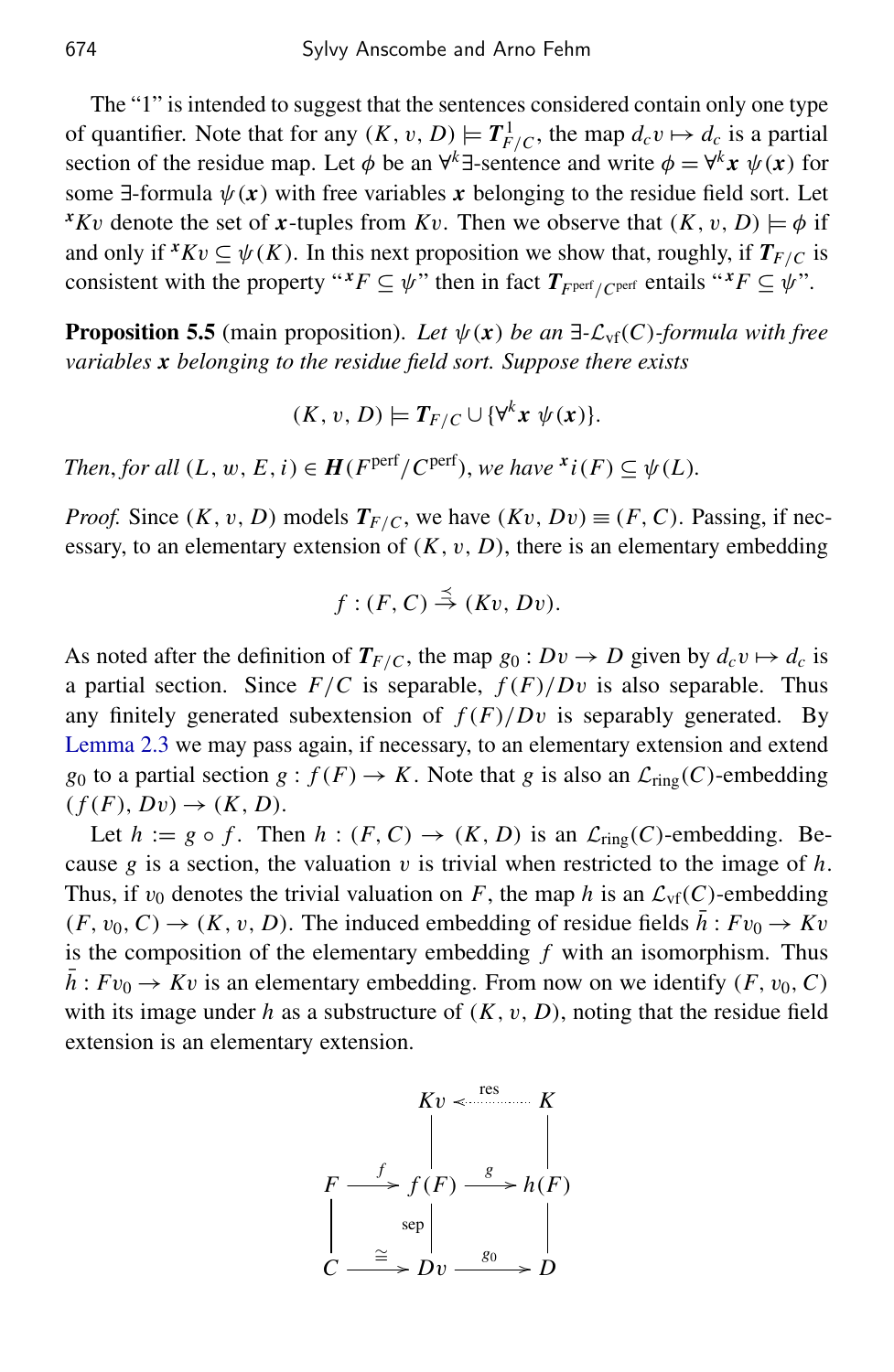The "1" is intended to suggest that the sentences considered contain only one type of quantifier. Note that for any  $(K, v, D) \models T_{F/C}^1$ , the map  $d_c v \mapsto d_c$  is a partial section of the residue map. Let  $\phi$  be an  $\forall^k$  ∃-sentence and write  $\phi = \forall^k x \psi(x)$  for some  $\exists$ -formula  $\psi(x)$  with free variables x belonging to the residue field sort. Let *xKv* denote the set of *x*-tuples from *Kv*. Then we observe that  $(K, v, D) \models \phi$  if and only if  $^xKv \subseteq \psi(K)$ . In this next proposition we show that, roughly, if  $T_{F/C}$  is consistent with the property " $^xF \subseteq \psi$ " then in fact  $T_{Fperf/Cperf}$  entails " $^xF \subseteq \psi$ ".

<span id="page-10-0"></span>**Proposition 5.5** (main proposition). Let  $\psi(x)$  be an  $\exists$ - $\mathcal{L}_{\text{vf}}(C)$ -formula with free *variables x belonging to the residue field sort. Suppose there exists*

$$
(K, v, D) \models T_{F/C} \cup \{\forall^k x \ \psi(x)\}.
$$

*Then, for all*  $(L, w, E, i) \in H(F^{\text{perf}}/C^{\text{perf}})$ , *we have*  $x_i(F) \subseteq \psi(L)$ *.* 

*Proof.* Since  $(K, v, D)$  models  $T_{F/C}$ , we have  $(Kv, Dv) \equiv (F, C)$ . Passing, if necessary, to an elementary extension of  $(K, v, D)$ , there is an elementary embedding

$$
f:(F,C)\stackrel{\preceq}{\rightarrow}(Kv,Dv).
$$

As noted after the definition of  $T_{F/C}$ , the map  $g_0: Dv \to D$  given by  $d_c v \mapsto d_c$  is a partial section. Since  $F/C$  is separable,  $f(F)/Dv$  is also separable. Thus any finitely generated subextension of  $f(F)/Dv$  is separably generated. By [Lemma 2.3](#page-3-0) we may pass again, if necessary, to an elementary extension and extend *g*<sub>0</sub> to a partial section *g* :  $f(F) \rightarrow K$ . Note that *g* is also an  $\mathcal{L}_{ring}(C)$ -embedding  $(f(F), Dv) \rightarrow (K, D).$ 

Let  $h := g \circ f$ . Then  $h : (F, C) \to (K, D)$  is an  $\mathcal{L}_{ring}(C)$ -embedding. Because  $g$  is a section, the valuation  $v$  is trivial when restricted to the image of  $h$ . Thus, if  $v_0$  denotes the trivial valuation on *F*, the map *h* is an  $\mathcal{L}_{\text{vf}}(C)$ -embedding  $(F, v_0, C) \rightarrow (K, v, D)$ . The induced embedding of residue fields  $\bar{h}: Fv_0 \rightarrow Kv$ is the composition of the elementary embedding *f* with an isomorphism. Thus  $h: Fv_0 \to Kv$  is an elementary embedding. From now on we identify  $(F, v_0, C)$ with its image under  $h$  as a substructure of  $(K, v, D)$ , noting that the residue field extension is an elementary extension.

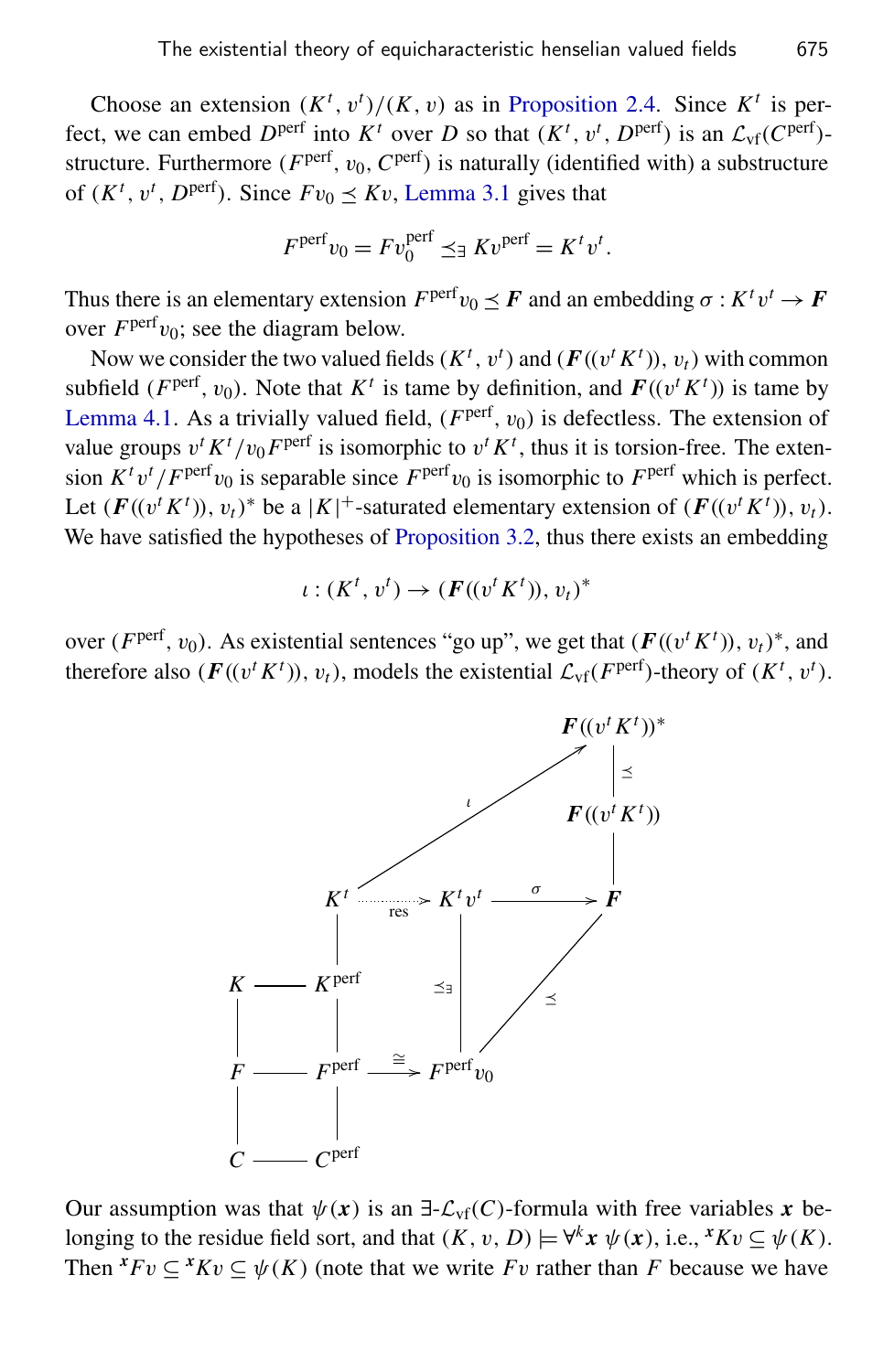Choose an extension  $(K^t, v^t)/(K, v)$  as in [Proposition 2.4.](#page-4-0) Since  $K^t$  is perfect, we can embed  $D^{\text{perf}}$  into  $K^t$  over  $D$  so that  $(K^t, v^t, D^{\text{perf}})$  is an  $\mathcal{L}_{\text{vf}}(C^{\text{perf}})$ structure. Furthermore ( $F<sup>perf</sup>$ ,  $v<sub>0</sub>$ ,  $C<sup>perf</sup>$ ) is naturally (identified with) a substructure of  $(K^t, v^t, D^{\text{perf}})$ . Since  $Fv_0 \leq Kv$ , [Lemma 3.1](#page-5-2) gives that

$$
F^{\text{perf}} v_0 = F v_0^{\text{perf}} \preceq_{\exists} K v^{\text{perf}} = K^t v^t.
$$

Thus there is an elementary extension  $F^{\text{perf}} v_0 \preceq F$  and an embedding  $\sigma : K^t v^t \to F$ over  $F<sup>perf</sup>v<sub>0</sub>$ ; see the diagram below.

Now we consider the two valued fields ( $K^t$ ,  $v^t$ ) and ( $F((v^t K^t))$ ,  $v_t$ ) with common subfield (*F*<sup>perf</sup>,  $v_0$ ). Note that  $K^t$  is tame by definition, and  $F((v^t K^t))$  is tame by [Lemma 4.1.](#page-6-1) As a trivially valued field,  $(F<sup>perf</sup>, v<sub>0</sub>)$  is defectless. The extension of value groups  $v^t K^t/v_0 F^{perf}$  is isomorphic to  $v^t K^t$ , thus it is torsion-free. The extension  $K^t v^t / F^{\text{perf}} v_0$  is separable since  $F^{\text{perf}} v_0$  is isomorphic to  $F^{\text{perf}}$  which is perfect. Let  $(F((v^t K^t)), v_t)^*$  be a  $|K|^+$ -saturated elementary extension of  $(F((v^t K^t)), v_t)$ . We have satisfied the hypotheses of [Proposition 3.2,](#page-5-0) thus there exists an embedding

$$
\iota: (K^t, v^t) \to (F((v^t K^t)), v_t)^*
$$

over (*F*<sup>perf</sup>, *v*<sub>0</sub>). As existential sentences "go up", we get that ( $F((v^t K^t))$ ,  $v_t$ )\*, and therefore also ( $\mathbf{F}((v^t K^t))$ ,  $v_t$ ), models the existential  $\mathcal{L}_{\text{vf}}(F^{\text{perf}})$ -theory of ( $K^t$ ,  $v^t$ ).



Our assumption was that  $\psi(x)$  is an  $\exists$ - $\mathcal{L}_{\text{vf}}(C)$ -formula with free variables x belonging to the residue field sort, and that  $(K, v, D) \models \forall^k x \ \psi(x)$ , i.e.,  $^x K v \subseteq \psi(K)$ . Then  ${}^xFv \subseteq {}^xKv \subseteq \psi(K)$  (note that we write *Fv* rather than *F* because we have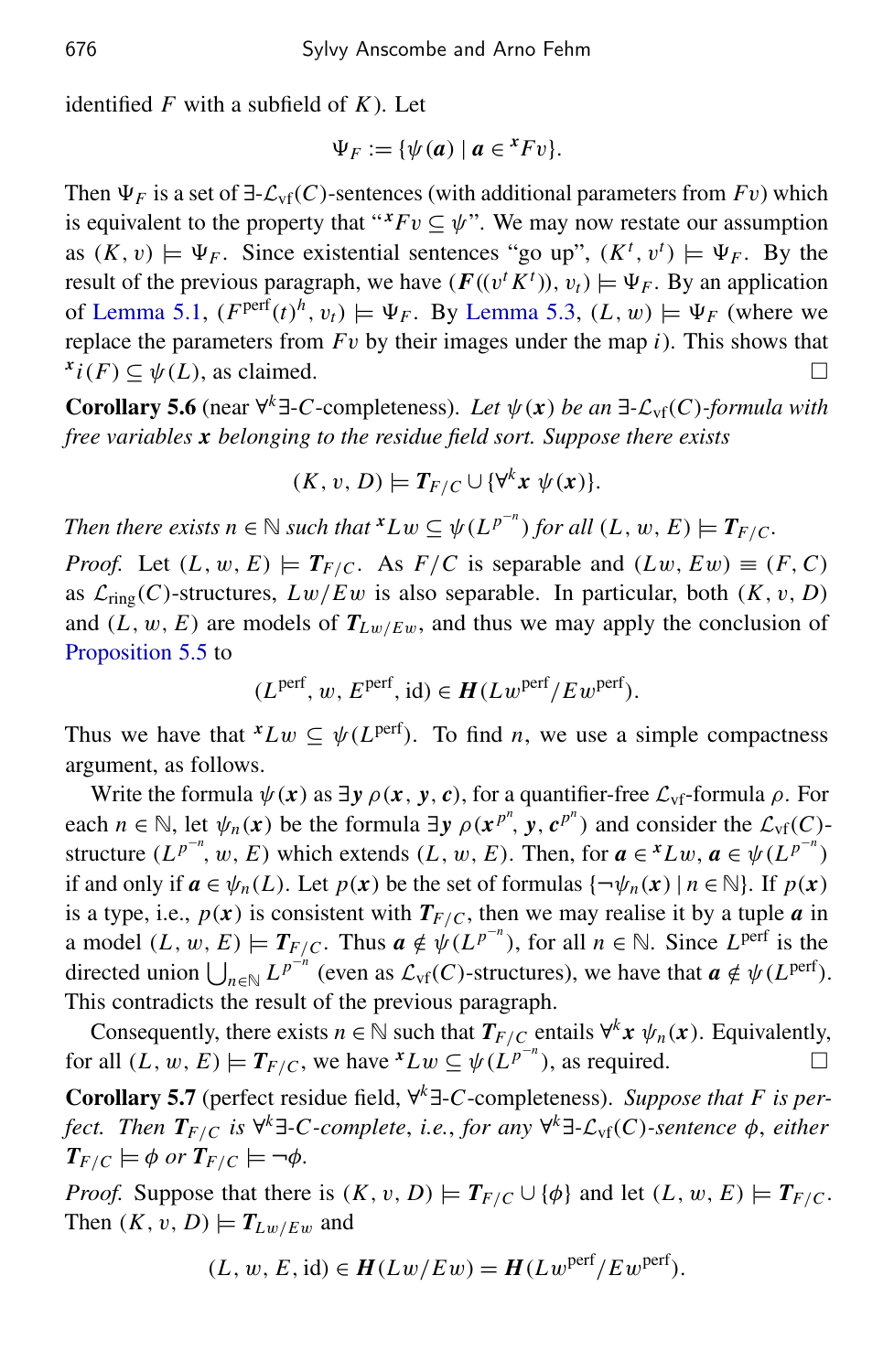identified *F* with a subfield of *K*). Let

$$
\Psi_F := \{ \psi(a) \mid a \in {}^x F v \}.
$$

Then  $\Psi_F$  is a set of  $\exists$ - $\mathcal{L}_{\text{vf}}(C)$ -sentences (with additional parameters from  $Fv$ ) which is equivalent to the property that " $^xFv \subseteq \psi$ ". We may now restate our assumption as  $(K, v) \models \Psi_F$ . Since existential sentences "go up",  $(K^t, v^t) \models \Psi_F$ . By the result of the previous paragraph, we have  $(F((v^t K^t)), v_t) \models \Psi_F$ . By an application of [Lemma 5.1,](#page-7-1)  $(F<sup>perf</sup>(t)<sup>h</sup>, v<sub>t</sub>) \models \Psi_F$ . By [Lemma 5.3,](#page-8-0)  $(L, w) \models \Psi_F$  (where we replace the parameters from *F*v by their images under the map *i*). This shows that  $x_i(F) \subseteq \psi(L)$ , as claimed.

<span id="page-12-1"></span>**Corollary 5.6** (near ∀<sup>k</sup> $\exists$ -*C*-completeness). Let  $\psi(x)$  be an  $\exists$ - $\mathcal{L}_{\text{vf}}(C)$ -formula with *free variables x belonging to the residue field sort. Suppose there exists*

$$
(K, v, D) \models T_{F/C} \cup \{\forall^k x \ \psi(x)\}.
$$

*Then there exists n*  $\in \mathbb{N}$  *such that*  ${}^{\boldsymbol{x}}Lw \subseteq \psi(L^{p^{-n}})$  *for all*  $(L, w, E) \models T_{F/C}$ *.* 

*Proof.* Let  $(L, w, E) \models T_{F/C}$ . As  $F/C$  is separable and  $(Lw, Ew) \equiv (F, C)$ as  $\mathcal{L}_{ring}(C)$ -structures,  $Lw/Ew$  is also separable. In particular, both  $(K, v, D)$ and  $(L, w, E)$  are models of  $T_{Lw/Ew}$ , and thus we may apply the conclusion of [Proposition 5.5](#page-10-0) to

$$
(L^{perf}, w, E^{perf}, id) \in H(Lw^{perf}/Ew^{perf}).
$$

Thus we have that  ${}^xLw \subseteq \psi(L^{perf})$ . To find *n*, we use a simple compactness argument, as follows.

Write the formula  $\psi(x)$  as  $\exists y \rho(x, y, c)$ , for a quantifier-free  $\mathcal{L}_{\text{vf}}$ -formula  $\rho$ . For each  $n \in \mathbb{N}$ , let  $\psi_n(x)$  be the formula  $\exists y \rho(x^{p^n}, y, c^{p^n})$  and consider the  $\mathcal{L}_{\text{vf}}(C)$ structure  $(L^{p^{-n}}, w, E)$  which extends  $(L, w, E)$ . Then, for  $a \in {}^{x}Lw$ ,  $a \in {}^{\psi}(L^{p^{-n}})$ if and only if  $a \in \psi_n(L)$ . Let  $p(x)$  be the set of formulas  $\{\neg \psi_n(x) \mid n \in \mathbb{N}\}\)$ . If  $p(x)$ is a type, i.e.,  $p(x)$  is consistent with  $T_{F/C}$ , then we may realise it by a tuple *a* in a model  $(L, w, E) \models T_{F/C}$ . Thus  $a \notin \psi(L^{p^{-n}})$ , for all  $n \in \mathbb{N}$ . Since  $L^{perf}$  is the directed union  $\bigcup_{n \in \mathbb{N}} L^{p^{-n}}$  (even as  $\mathcal{L}_{\text{vf}}(C)$ -structures), we have that  $a \notin \psi(L^{\text{perf}})$ . This contradicts the result of the previous paragraph.

Consequently, there exists  $n \in \mathbb{N}$  such that  $T_{F/C}$  entails  $\forall^k x \psi_n(x)$ . Equivalently, for all  $(L, w, E) \models T_{F/C}$ , we have  ${}^xLw \subseteq \psi(L^{p^{-n}})$ , as required.

<span id="page-12-0"></span>Corollary 5.7 (perfect residue field, ∀ *<sup>k</sup>*∃-*C*-completeness). *Suppose that F is perfect. Then TF*/*<sup>C</sup> is* ∀ *<sup>k</sup>*∃*-C-complete*, *i.e.*, *for any* ∀ *<sup>k</sup>*∃*-*Lvf(*C*)*-sentence* φ, *either*  $T_{F/C} \models \phi$  *or*  $T_{F/C} \models \neg \phi$ *.* 

*Proof.* Suppose that there is  $(K, v, D) \models T_{F/C} \cup \{\phi\}$  and let  $(L, w, E) \models T_{F/C}$ . Then  $(K, v, D) \models T_{Lw/Ew}$  and

$$
(L, w, E, id) \in H(Lw/Ew) = H(Lw^{\text{perf}}/Ew^{\text{perf}}).
$$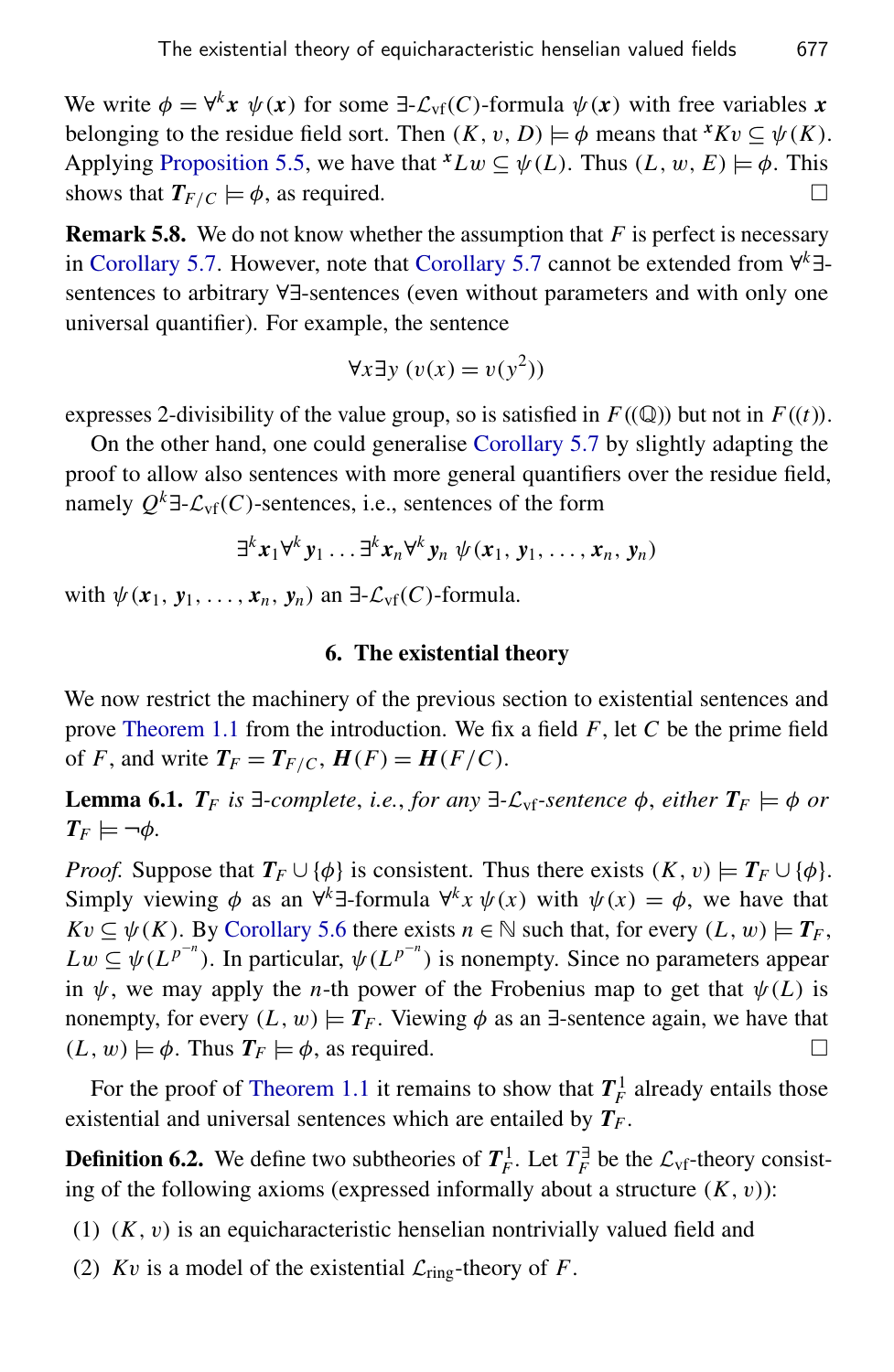We write  $\phi = \forall^k x \ \psi(x)$  for some  $\exists \mathcal{L}_{\text{vf}}(C)$ -formula  $\psi(x)$  with free variables x belonging to the residue field sort. Then  $(K, v, D) \models \phi$  means that  $^xKv \subseteq \psi(K)$ . Applying [Proposition 5.5,](#page-10-0) we have that  ${}^xLw \subseteq \psi(L)$ . Thus  $(L, w, E) \models \phi$ . This shows that  $T_{F/C} \models \phi$ , as required.

Remark 5.8. We do not know whether the assumption that *F* is perfect is necessary in [Corollary 5.7.](#page-12-0) However, note that [Corollary 5.7](#page-12-0) cannot be extended from ∀ *<sup>k</sup>*∃ sentences to arbitrary ∀∃-sentences (even without parameters and with only one universal quantifier). For example, the sentence

$$
\forall x \exists y \ (v(x) = v(y^2))
$$

expresses 2-divisibility of the value group, so is satisfied in  $F((\mathbb{Q}))$  but not in  $F((t))$ .

On the other hand, one could generalise [Corollary 5.7](#page-12-0) by slightly adapting the proof to allow also sentences with more general quantifiers over the residue field, namely  $Q^k$ ∃- $\mathcal{L}_{\text{vf}}(C)$ -sentences, i.e., sentences of the form

$$
\exists^{k} x_1 \forall^{k} y_1 \ldots \exists^{k} x_n \forall^{k} y_n \psi(x_1, y_1, \ldots, x_n, y_n)
$$

with  $\psi$  ( $x_1, y_1, \ldots, x_n, y_n$ ) an  $\exists$ - $\mathcal{L}_{\text{vf}}(C)$ -formula.

#### 6. The existential theory

We now restrict the machinery of the previous section to existential sentences and prove [Theorem 1.1](#page-2-0) from the introduction. We fix a field *F*, let *C* be the prime field of *F*, and write  $T_F = T_{F/C}$ ,  $H(F) = H(F/C)$ .

<span id="page-13-0"></span>**Lemma 6.1.**  $T_F$  is  $\exists$ -complete, i.e., for any  $\exists$ - $\mathcal{L}_{\text{vf}}$ -sentence  $\phi$ , either  $T_F \models \phi$  or  $T_F \models \neg \phi$ .

*Proof.* Suppose that  $T_F \cup {\phi}$  is consistent. Thus there exists  $(K, v) \models T_F \cup {\phi}$ . Simply viewing  $\phi$  as an  $\forall^k \exists$ -formula  $\forall^k x \psi(x)$  with  $\psi(x) = \phi$ , we have that  $Kv \subseteq \psi(K)$ . By [Corollary 5.6](#page-12-1) there exists  $n \in \mathbb{N}$  such that, for every  $(L, w) \models T_F$ ,  $Lw \subseteq \psi(L^{p^{-n}})$ . In particular,  $\psi(L^{p^{-n}})$  is nonempty. Since no parameters appear in  $\psi$ , we may apply the *n*-th power of the Frobenius map to get that  $\psi(L)$  is nonempty, for every  $(L, w) \models T_F$ . Viewing  $\phi$  as an  $\exists$ -sentence again, we have that  $(L, w) \models \phi$ . Thus  $T_F \models \phi$ , as required.

For the proof of [Theorem 1.1](#page-2-0) it remains to show that  $T_F^1$  already entails those existential and universal sentences which are entailed by *T<sup>F</sup>* .

**Definition 6.2.** We define two subtheories of  $T_F^1$ . Let  $T_F^{\exists}$  $\mathcal{L}_{\text{F}}$  be the  $\mathcal{L}_{\text{vf}}$ -theory consisting of the following axioms (expressed informally about a structure  $(K, v)$ ):

- $(1)$   $(K, v)$  is an equicharacteristic henselian nontrivially valued field and
- (2) *Kv* is a model of the existential  $\mathcal{L}_{ring}$ -theory of *F*.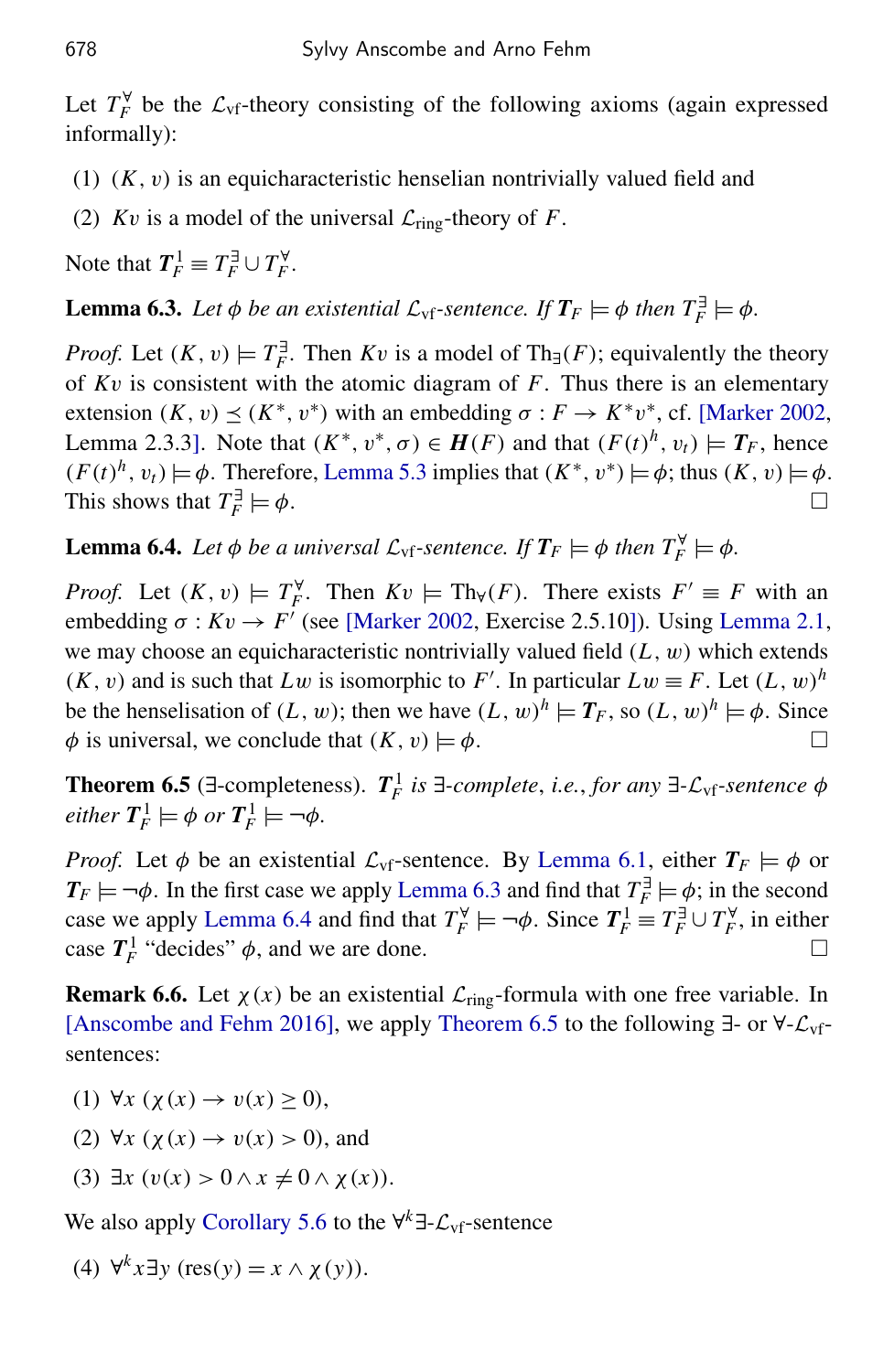Let  $T_F^{\forall}$  $\mathcal{L}_{\text{F}}$  be the  $\mathcal{L}_{\text{vf}}$ -theory consisting of the following axioms (again expressed informally):

- $(1)$   $(K, v)$  is an equicharacteristic henselian nontrivially valued field and
- (2) *Kv* is a model of the universal  $\mathcal{L}_{ring}$ -theory of *F*.

Note that  $T_F^1 \equiv T_F^{\exists} \cup T_F^{\forall}$ *F* .

<span id="page-14-1"></span>**Lemma 6.3.** Let  $\phi$  be an existential  $\mathcal{L}_{\text{vf}}$ -sentence. If  $T_F \models \phi$  then  $T_F^{\exists} \models \phi$ .

*Proof.* Let  $(K, v) \models T_F^{\exists}$  $F_F^{\exists}$ . Then *Kv* is a model of Th<sub>∃</sub>(*F*); equivalently the theory of *K*v is consistent with the atomic diagram of *F*. Thus there is an elementary extension  $(K, v) \le (K^*, v^*)$  with an embedding  $\sigma : F \to K^*v^*$ , cf. [\[Marker 2002,](#page-19-14) Lemma 2.3.3]. Note that  $(K^*, v^*, \sigma) \in H(F)$  and that  $(F(t)^h, v_t) \models T_F$ , hence  $(F(t)^h, v_t) \models \phi$ . Therefore, [Lemma 5.3](#page-8-0) implies that  $(K^*, v^*) \models \phi$ ; thus  $(K, v) \models \phi$ . This shows that  $T_F^{\exists}$ *F*  $\models \phi.$ 

<span id="page-14-2"></span>**Lemma 6.4.** *Let*  $\phi$  *be a universal*  $\mathcal{L}_{\text{vf}}$ -sentence. If  $T_F \models \phi$  then  $T_F^{\forall} \models \phi$ .

*Proof.* Let  $(K, v) \models T_F^{\forall}$ *F*. Then  $Kv \models Th_\forall(F)$ . There exists  $F' \equiv F$  with an embedding  $\sigma: Kv \to F'$  (see [\[Marker 2002,](#page-19-14) Exercise 2.5.10]). Using [Lemma 2.1,](#page-3-1) we may choose an equicharacteristic nontrivially valued field  $(L, w)$  which extends  $(K, v)$  and is such that  $Lw$  is isomorphic to  $F'$ . In particular  $Lw \equiv F$ . Let  $(L, w)^h$ be the henselisation of  $(L, w)$ ; then we have  $(L, w)^h \models T_F$ , so  $(L, w)^h \models \phi$ . Since  $\phi$  is universal, we conclude that  $(K, v) \models \phi$ .

<span id="page-14-0"></span>**Theorem 6.5** (∃-completeness).  $T_F^1$  is ∃-complete, i.e., for any ∃- $\mathcal{L}_{\text{vf}}$ -sentence  $\phi$  $\ell$ *either*  $T_F^1 \models \phi$  *or*  $T_F^1 \models \neg \phi$ *.* 

*Proof.* Let  $\phi$  be an existential  $\mathcal{L}_{\text{vf}}$ -sentence. By [Lemma 6.1,](#page-13-0) either  $T_F \models \phi$  or  $T_F \models \neg \phi$ . In the first case we apply [Lemma 6.3](#page-14-1) and find that  $T_F^{\exists}$  $E_F^{\exists} \models \phi$ ; in the second case we apply [Lemma 6.4](#page-14-2) and find that  $T_F^{\forall}$  $T_F^{\forall} \models \neg \phi$ . Since  $T_F^1 \equiv T_F^{\exists} \cup T_F^{\forall}$  $\int_F^{\forall}$ , in either case  $T_F^1$  "decides"  $\phi$ , and we are done.

**Remark 6.6.** Let  $\chi(x)$  be an existential  $\mathcal{L}_{ring}$ -formula with one free variable. In [\[Anscombe and Fehm 2016\]](#page-18-0), we apply [Theorem 6.5](#page-14-0) to the following ∃- or ∀-Lvfsentences:

- (1)  $\forall x$  ( $\chi(x) \rightarrow v(x) > 0$ ),
- (2)  $\forall x$  ( $\chi(x) \rightarrow v(x) > 0$ ), and
- (3)  $\exists x \ (v(x) > 0 \land x \neq 0 \land \chi(x)).$

We also apply [Corollary 5.6](#page-12-1) to the ∀<sup>k</sup>∃- $\mathcal{L}_{\text{vf}}$ -sentence

(4)  $\forall^k x \exists y$  (res(y) =  $x \wedge \chi(y)$ ).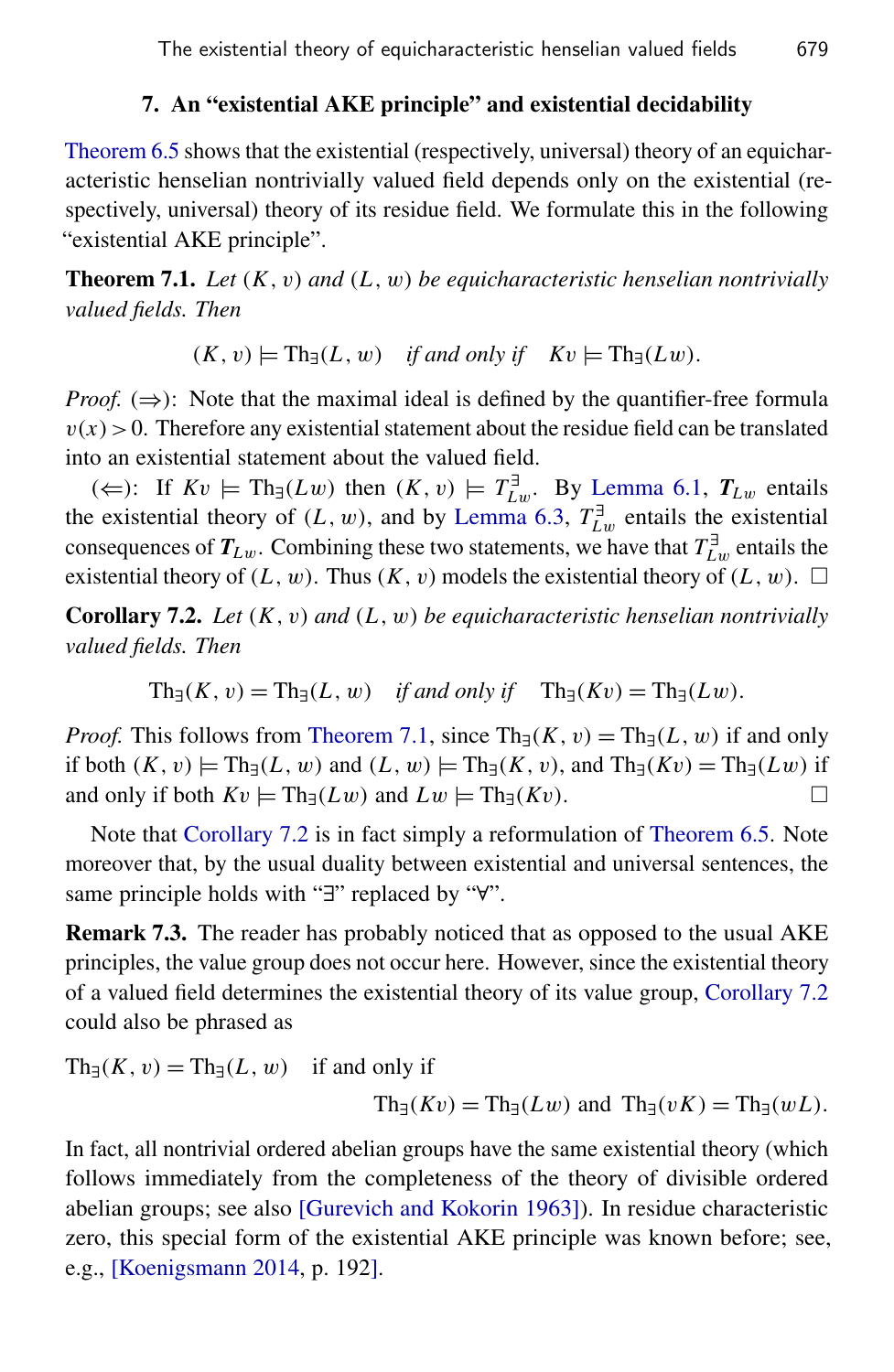### 7. An "existential AKE principle" and existential decidability

<span id="page-15-1"></span>[Theorem 6.5](#page-14-0) shows that the existential (respectively, universal) theory of an equicharacteristic henselian nontrivially valued field depends only on the existential (respectively, universal) theory of its residue field. We formulate this in the following "existential AKE principle".

<span id="page-15-3"></span>Theorem 7.1. *Let* (*K*, v) *and* (*L*, w) *be equicharacteristic henselian nontrivially valued fields. Then*

 $(K, v) \models Th_{\exists}(L, w)$  *if and only if*  $Kv \models Th_{\exists}(Lw)$ .

*Proof.* ( $\Rightarrow$ ): Note that the maximal ideal is defined by the quantifier-free formula  $v(x) > 0$ . Therefore any existential statement about the residue field can be translated into an existential statement about the valued field.

(∈): If  $Kv$   $\models$  Th<sub>∃</sub>(*Lw*) then  $(K, v) \models T^{\exists}_{L}$  $L^{\text{d}}_{\text{L}w}$ . By [Lemma 6.1,](#page-13-0)  $T_{\text{L}w}$  entails the existential theory of  $(L, w)$ , and by [Lemma 6.3,](#page-14-1)  $T_L^{\exists}$  $L^{\text{d}}$  entails the existential consequences of  $T_{Lw}$ . Combining these two statements, we have that  $T_L^{\exists}$  $L^{\text{I}}$  entails the existential theory of  $(L, w)$ . Thus  $(K, v)$  models the existential theory of  $(L, w)$ .  $\square$ 

<span id="page-15-0"></span>Corollary 7.2. *Let* (*K*, v) *and* (*L*, w) *be equicharacteristic henselian nontrivially valued fields. Then*

$$
Th_{\exists}(K, v) = Th_{\exists}(L, w) \quad \text{if and only if} \quad Th_{\exists}(Kv) = Th_{\exists}(Lw).
$$

*Proof.* This follows from [Theorem 7.1,](#page-15-3) since  $\text{Th}_{\exists}(K, v) = \text{Th}_{\exists}(L, w)$  if and only if both  $(K, v) \models Th_{\exists}(L, w)$  and  $(L, w) \models Th_{\exists}(K, v)$ , and  $Th_{\exists}(Kv) = Th_{\exists}(Lw)$  if and only if both  $Kv \models Th_{\exists}(Lw)$  and  $Lw \models Th_{\exists}(Kv)$ .

Note that [Corollary 7.2](#page-15-0) is in fact simply a reformulation of [Theorem 6.5.](#page-14-0) Note moreover that, by the usual duality between existential and universal sentences, the same principle holds with "∃" replaced by "∀".

<span id="page-15-2"></span>**Remark 7.3.** The reader has probably noticed that as opposed to the usual AKE principles, the value group does not occur here. However, since the existential theory of a valued field determines the existential theory of its value group, [Corollary 7.2](#page-15-0) could also be phrased as

 $\text{Th}_{\exists}(K, v) = \text{Th}_{\exists}(L, w)$  if and only if

$$
Th_{\exists}(Kv) = Th_{\exists}(Lw) \text{ and } Th_{\exists}(vK) = Th_{\exists}(wL).
$$

In fact, all nontrivial ordered abelian groups have the same existential theory (which follows immediately from the completeness of the theory of divisible ordered abelian groups; see also [\[Gurevich and Kokorin 1963\]](#page-19-15)). In residue characteristic zero, this special form of the existential AKE principle was known before; see, e.g., [\[Koenigsmann 2014,](#page-19-16) p. 192].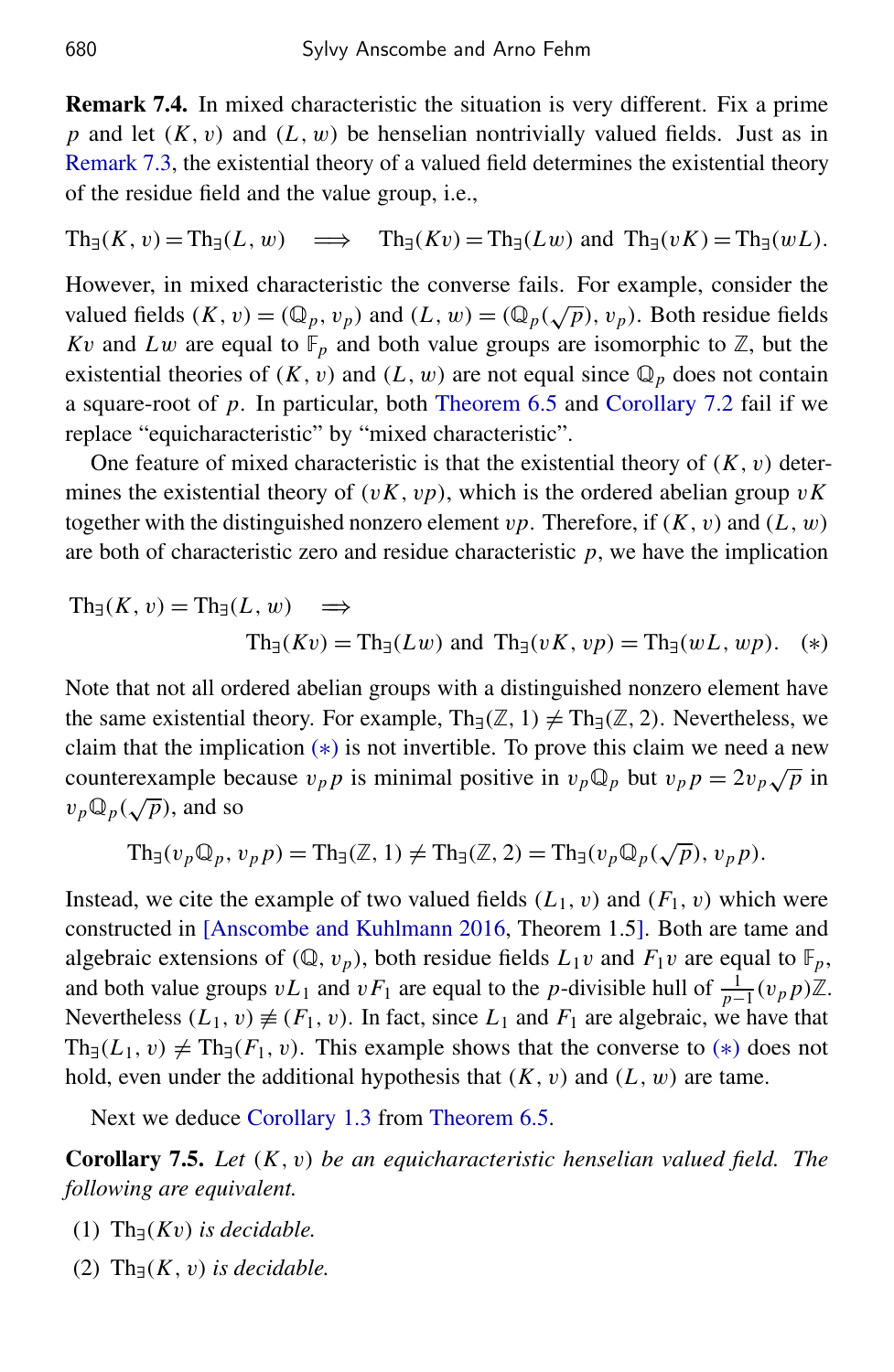<span id="page-16-1"></span>Remark 7.4. In mixed characteristic the situation is very different. Fix a prime  $p$  and let  $(K, v)$  and  $(L, w)$  be henselian nontrivially valued fields. Just as in [Remark 7.3,](#page-15-2) the existential theory of a valued field determines the existential theory of the residue field and the value group, i.e.,

$$
\operatorname{Th}_{\exists}(K, v) = \operatorname{Th}_{\exists}(L, w) \implies \operatorname{Th}_{\exists}(Kv) = \operatorname{Th}_{\exists}(Lw) \text{ and } \operatorname{Th}_{\exists}(vK) = \operatorname{Th}_{\exists}(wL).
$$

However, in mixed characteristic the converse fails. For example, consider the valued fields  $(K, v) = (\mathbb{Q}_p, v_p)$  and  $(L, w) = (\mathbb{Q}_p(\sqrt{p}), v_p)$ . Both residue fields *Kv* and *Lw* are equal to  $\mathbb{F}_p$  and both value groups are isomorphic to  $\mathbb{Z}$ , but the existential theories of  $(K, v)$  and  $(L, w)$  are not equal since  $\mathbb{Q}_p$  does not contain a square-root of *p*. In particular, both [Theorem 6.5](#page-14-0) and [Corollary 7.2](#page-15-0) fail if we replace "equicharacteristic" by "mixed characteristic".

One feature of mixed characteristic is that the existential theory of  $(K, v)$  determines the existential theory of  $(vK, vp)$ , which is the ordered abelian group  $vK$ together with the distinguished nonzero element  $vp$ . Therefore, if  $(K, v)$  and  $(L, w)$ are both of characteristic zero and residue characteristic *p*, we have the implication

$$
\mathrm{Th}_{\exists}(K, v) = \mathrm{Th}_{\exists}(L, w) \implies
$$
  
\n
$$
\mathrm{Th}_{\exists}(Kv) = \mathrm{Th}_{\exists}(Lw) \text{ and } \mathrm{Th}_{\exists}(vK, vp) = \mathrm{Th}_{\exists}(wL, wp).
$$
 (\*)

Note that not all ordered abelian groups with a distinguished nonzero element have the same existential theory. For example, Th<sub>∃</sub>( $\mathbb{Z}$ , 1)  $\neq$  Th<sub>∃</sub>( $\mathbb{Z}$ , 2). Nevertheless, we claim that the implication  $(*)$  is not invertible. To prove this claim we need a new counterexample because  $v_p p$  is minimal positive in  $v_p \mathbb{Q}_p$  but  $v_p p = 2v_p \sqrt{p}$  in  $v_p \mathbb{Q}_p(\sqrt{p})$ , and so

<span id="page-16-2"></span>
$$
\mathrm{Th}_{\exists}(v_{p}\mathbb{Q}_{p},v_{p}p)=\mathrm{Th}_{\exists}(\mathbb{Z},1)\neq\mathrm{Th}_{\exists}(\mathbb{Z},2)=\mathrm{Th}_{\exists}(v_{p}\mathbb{Q}_{p}(\sqrt{p}),v_{p}p).
$$

Instead, we cite the example of two valued fields  $(L_1, v)$  and  $(F_1, v)$  which were constructed in [\[Anscombe and Kuhlmann 2016,](#page-19-17) Theorem 1.5]. Both are tame and algebraic extensions of  $(\mathbb{Q}, v_p)$ , both residue fields  $L_1v$  and  $F_1v$  are equal to  $\mathbb{F}_p$ , and both value groups  $vL_1$  and  $vF_1$  are equal to the *p*-divisible hull of  $\frac{1}{p-1}(v_p p)\mathbb{Z}$ . Nevertheless  $(L_1, v) \neq (F_1, v)$ . In fact, since  $L_1$  and  $F_1$  are algebraic, we have that  $\text{Th}_{\exists}(L_1, v) \neq \text{Th}_{\exists}(F_1, v)$ . This example shows that the converse to (\*) does not hold, even under the additional hypothesis that  $(K, v)$  and  $(L, w)$  are tame.

Next we deduce [Corollary 1.3](#page-2-1) from [Theorem 6.5.](#page-14-0)

<span id="page-16-0"></span>Corollary 7.5. *Let* (*K*, v) *be an equicharacteristic henselian valued field. The following are equivalent.*

- (1) Th∃(*K*v) *is decidable.*
- (2)  $\text{Th}_{\exists}(K, v)$  *is decidable.*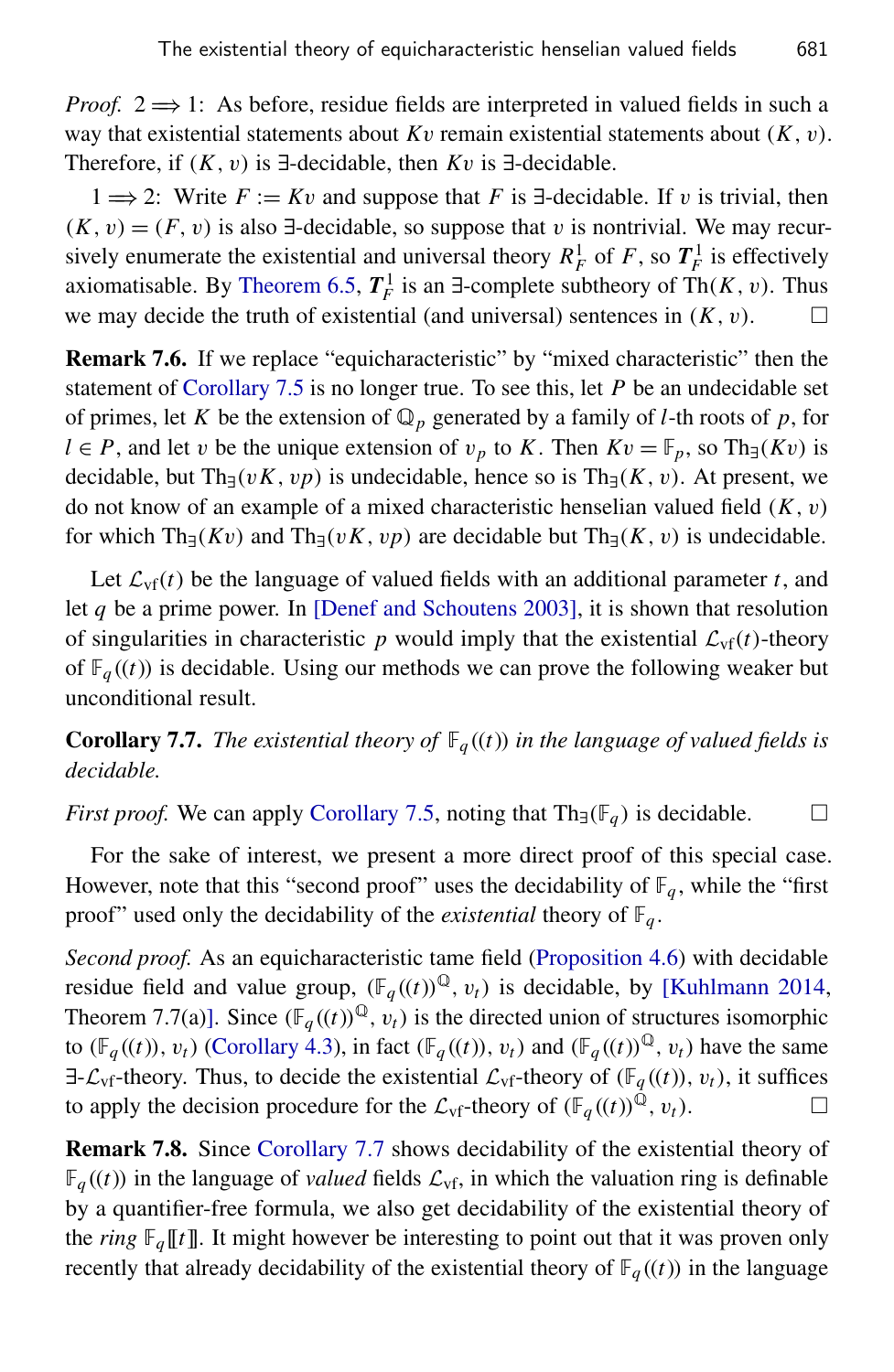*Proof.* 2  $\Rightarrow$  1: As before, residue fields are interpreted in valued fields in such a way that existential statements about  $Kv$  remain existential statements about  $(K, v)$ . Therefore, if (*K*, v) is ∃-decidable, then *K*v is ∃-decidable.

1  $\Rightarrow$  2: Write *F* := *Kv* and suppose that *F* is ∃-decidable. If *v* is trivial, then  $(K, v) = (F, v)$  is also ∃-decidable, so suppose that v is nontrivial. We may recursively enumerate the existential and universal theory  $R_F^1$  of *F*, so  $T_F^1$  is effectively axiomatisable. By [Theorem 6.5,](#page-14-0)  $T_F^1$  is an  $\exists$ -complete subtheory of Th(*K*, *v*). Thus we may decide the truth of existential (and universal) sentences in (*K*, v).

<span id="page-17-1"></span>Remark 7.6. If we replace "equicharacteristic" by "mixed characteristic" then the statement of [Corollary 7.5](#page-16-0) is no longer true. To see this, let *P* be an undecidable set of primes, let *K* be the extension of  $\mathbb{Q}_p$  generated by a family of *l*-th roots of *p*, for *l* ∈ *P*, and let *v* be the unique extension of  $v_p$  to *K*. Then  $Kv = \mathbb{F}_p$ , so Th<sub>∃</sub>(*Kv*) is decidable, but Th<sub>∃</sub>(*vK*, *vp*) is undecidable, hence so is Th<sub>∃</sub>(*K*, *v*). At present, we do not know of an example of a mixed characteristic henselian valued field (*K*, v) for which Th<sub>∃</sub>(*Kv*) and Th<sub>∃</sub>(*vK*, *vp*) are decidable but Th<sub>∃</sub>(*K*, *v*) is undecidable.

Let  $\mathcal{L}_{\text{vf}}(t)$  be the language of valued fields with an additional parameter *t*, and let *q* be a prime power. In [\[Denef and Schoutens 2003\]](#page-19-3), it is shown that resolution of singularities in characteristic p would imply that the existential  $\mathcal{L}_{\text{vf}}(t)$ -theory of  $\mathbb{F}_q((t))$  is decidable. Using our methods we can prove the following weaker but unconditional result.

<span id="page-17-0"></span>**Corollary 7.7.** *The existential theory of*  $\mathbb{F}_q((t))$  *in the language of valued fields is decidable.*

*First proof.* We can apply [Corollary 7.5,](#page-16-0) noting that  $Th_{\exists}(\mathbb{F}_q)$  is decidable.  $\square$ 

For the sake of interest, we present a more direct proof of this special case. However, note that this "second proof" uses the decidability of  $\mathbb{F}_q$ , while the "first" proof" used only the decidability of the *existential* theory of  $\mathbb{F}_q$ .

*Second proof.* As an equicharacteristic tame field [\(Proposition 4.6\)](#page-6-2) with decidable residue field and value group,  $(\mathbb{F}_q((t)))^{\mathbb{Q}}, v_t)$  is decidable, by [\[Kuhlmann 2014,](#page-19-2) Theorem 7.7(a)]. Since  $(\mathbb{F}_q((t))^{\mathbb{Q}}, v_t)$  is the directed union of structures isomorphic to ( $\mathbb{F}_q((t))$ ,  $v_t$ ) [\(Corollary 4.3\)](#page-6-3), in fact ( $\mathbb{F}_q((t))$ ,  $v_t$ ) and ( $\mathbb{F}_q((t))^\mathbb{Q}$ ,  $v_t$ ) have the same  $\exists$ - $\mathcal{L}_{\text{vf}}$ -theory. Thus, to decide the existential  $\mathcal{L}_{\text{vf}}$ -theory of ( $\mathbb{F}_q((t))$ ,  $v_t$ ), it suffices to apply the decision procedure for the  $\mathcal{L}_{\text{vf}}$ -theory of  $(\mathbb{F}_q((t))^{\mathbb{Q}}, v_t)$ .

Remark 7.8. Since [Corollary 7.7](#page-17-0) shows decidability of the existential theory of  $\mathbb{F}_q((t))$  in the language of *valued* fields  $\mathcal{L}_{\text{vf}}$ , in which the valuation ring is definable by a quantifier-free formula, we also get decidability of the existential theory of the *ring*  $\mathbb{F}_q[[t]]$ . It might however be interesting to point out that it was proven only recently that already decidability of the existential theory of  $\mathbb{F}_q((t))$  in the language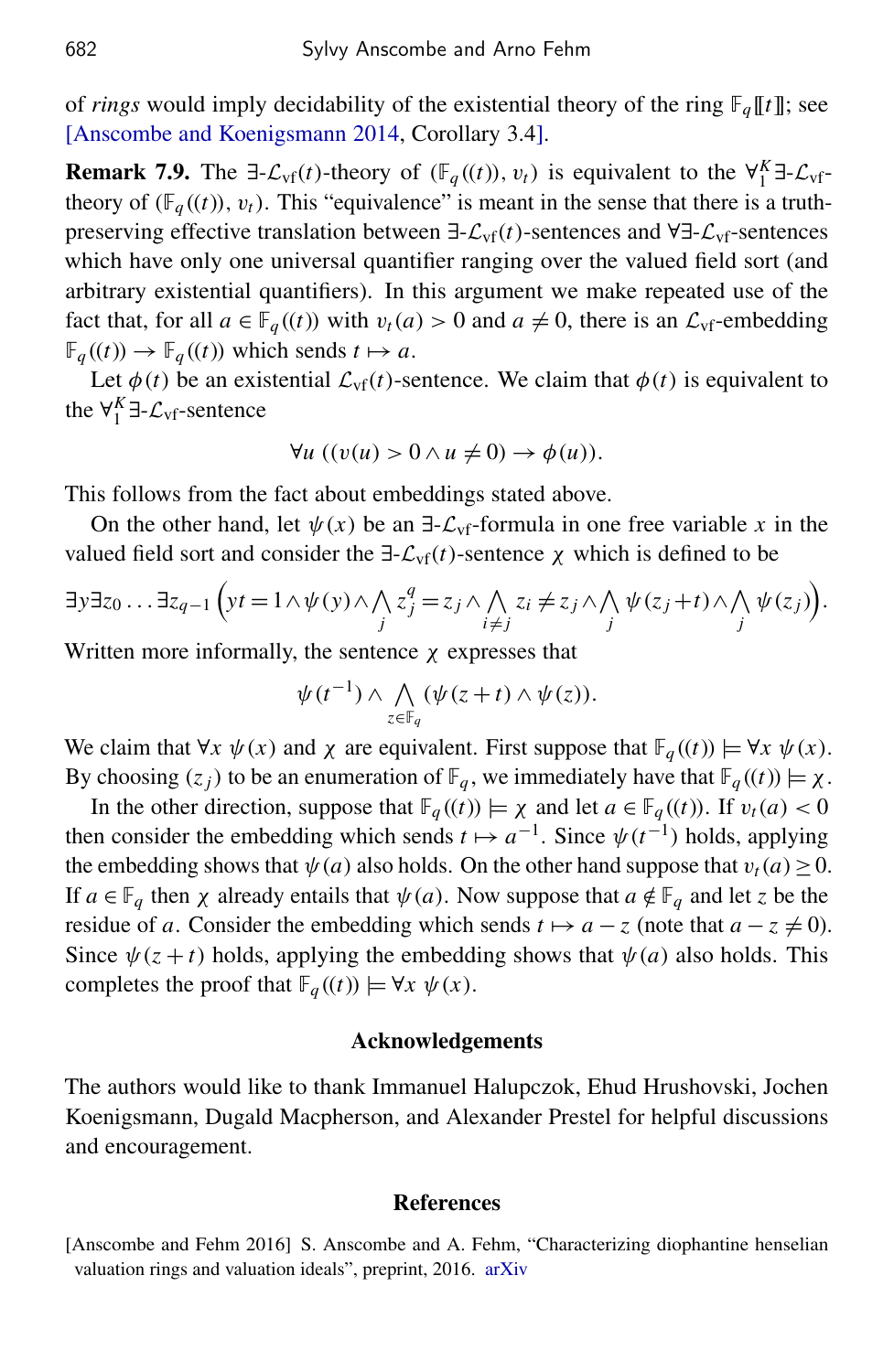of *rings* would imply decidability of the existential theory of the ring  $\mathbb{F}_q[[t]]$ ; see [\[Anscombe and Koenigsmann 2014,](#page-19-4) Corollary 3.4].

**Remark 7.9.** The  $\exists$ - $\mathcal{L}_{\text{vf}}(t)$ -theory of ( $\mathbb{F}_q((t))$ ,  $v_t$ ) is equivalent to the  $\forall_{1}^{K} \exists$ - $\mathcal{L}_{\text{vf}}$ theory of  $(\mathbb{F}_q((t)), v_t)$ . This "equivalence" is meant in the sense that there is a truthpreserving effective translation between ∃-Lvf(*t*)-sentences and ∀∃-Lvf-sentences which have only one universal quantifier ranging over the valued field sort (and arbitrary existential quantifiers). In this argument we make repeated use of the fact that, for all  $a \in \mathbb{F}_q((t))$  with  $v_t(a) > 0$  and  $a \neq 0$ , there is an  $\mathcal{L}_{\text{vf}}$ -embedding  $\mathbb{F}_q((t)) \to \mathbb{F}_q((t))$  which sends  $t \mapsto a$ .

Let  $\phi(t)$  be an existential  $\mathcal{L}_{\text{vf}}(t)$ -sentence. We claim that  $\phi(t)$  is equivalent to the  $\forall_{1}^{K} \exists \text{-} \mathcal{L}_{\text{vf}}\text{-sentence}$ 

$$
\forall u ((v(u) > 0 \land u \neq 0) \to \phi(u)).
$$

This follows from the fact about embeddings stated above.

On the other hand, let  $\psi(x)$  be an  $\exists$ - $\mathcal{L}_{\text{vf}}$ -formula in one free variable x in the valued field sort and consider the  $\exists \mathcal{L}_{\text{vf}}(t)$ -sentence  $\chi$  which is defined to be

$$
\exists y \exists z_0 \ldots \exists z_{q-1} \left( yt = 1 \land \psi(y) \land \bigwedge_j z_j^q = z_j \land \bigwedge_{i \neq j} z_i \neq z_j \land \bigwedge_j \psi(z_j + t) \land \bigwedge_j \psi(z_j) \right).
$$

Written more informally, the sentence  $\chi$  expresses that

$$
\psi(t^{-1}) \wedge \bigwedge_{z \in \mathbb{F}_q} (\psi(z+t) \wedge \psi(z)).
$$

We claim that  $\forall x \psi(x)$  and  $\chi$  are equivalent. First suppose that  $\mathbb{F}_q((t)) \models \forall x \psi(x)$ . By choosing  $(z_j)$  to be an enumeration of  $\mathbb{F}_q$ , we immediately have that  $\mathbb{F}_q((t)) \models \chi$ .

In the other direction, suppose that  $\mathbb{F}_q((t)) \models \chi$  and let  $a \in \mathbb{F}_q((t))$ . If  $v_t(a) < 0$ then consider the embedding which sends  $t \mapsto a^{-1}$ . Since  $\psi(t^{-1})$  holds, applying the embedding shows that  $\psi(a)$  also holds. On the other hand suppose that  $v_t(a) \ge 0$ . If  $a \in \mathbb{F}_q$  then  $\chi$  already entails that  $\psi(a)$ . Now suppose that  $a \notin \mathbb{F}_q$  and let *z* be the residue of *a*. Consider the embedding which sends  $t \mapsto a - z$  (note that  $a - z \neq 0$ ). Since  $\psi(z+t)$  holds, applying the embedding shows that  $\psi(a)$  also holds. This completes the proof that  $\mathbb{F}_q((t)) \models \forall x \ \psi(x)$ .

#### Acknowledgements

The authors would like to thank Immanuel Halupczok, Ehud Hrushovski, Jochen Koenigsmann, Dugald Macpherson, and Alexander Prestel for helpful discussions and encouragement.

#### References

<span id="page-18-0"></span><sup>[</sup>Anscombe and Fehm 2016] S. Anscombe and A. Fehm, "Characterizing diophantine henselian valuation rings and valuation ideals", preprint, 2016. [arXiv](http://msp.org/idx/arx/1602.01233)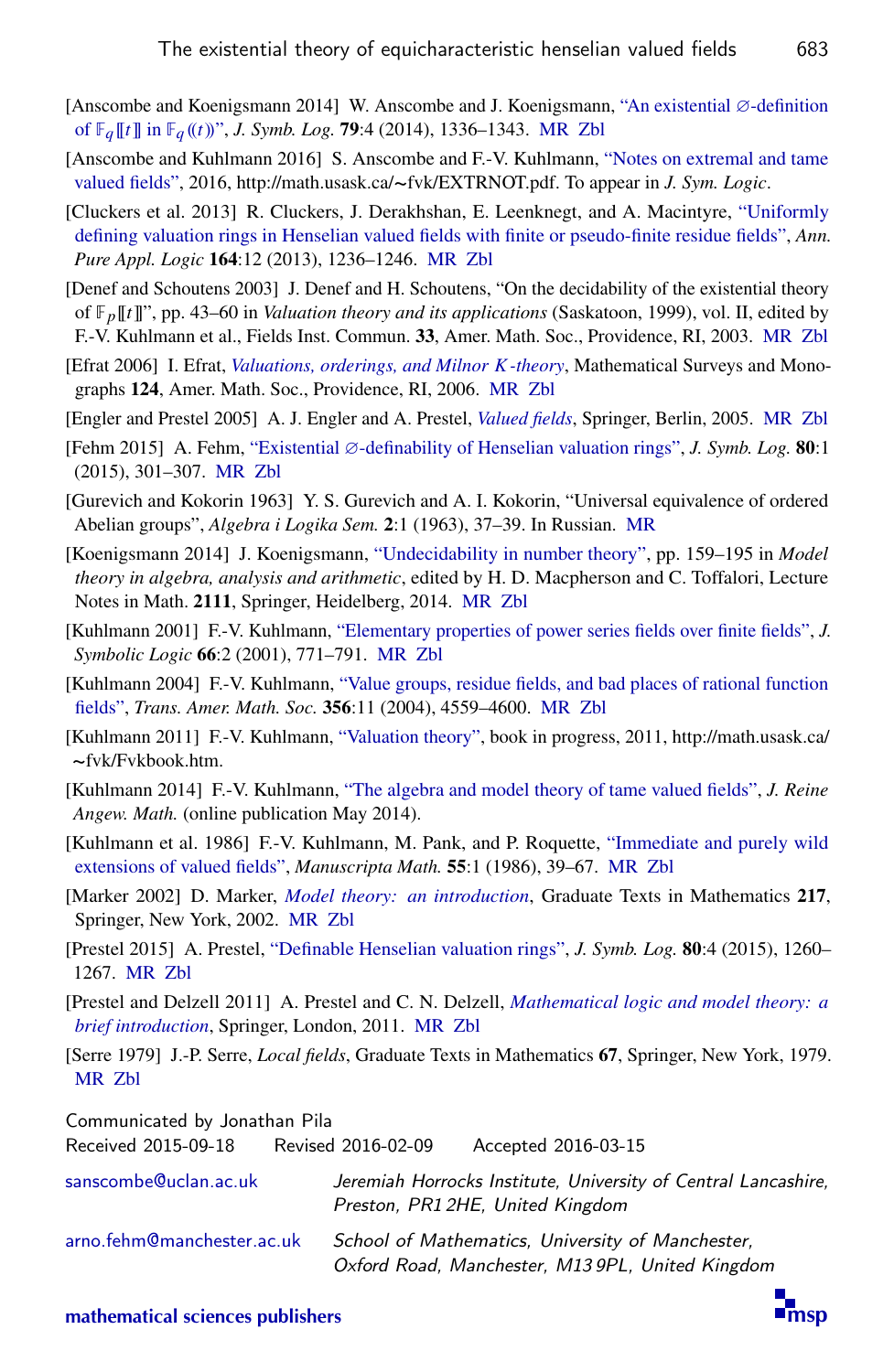- <span id="page-19-4"></span>[Anscombe and Koenigsmann 2014] W. Anscombe and J. Koenigsmann, ["An existential](http://dx.doi.org/10.1017/jsl.2014.27) ∅-definition [of](http://dx.doi.org/10.1017/jsl.2014.27) F*<sup>q</sup>* [[*t*]] in F*<sup>q</sup>* ((*t*))", *J. Symb. Log.* 79:4 (2014), 1336–1343. [MR](http://msp.org/idx/mr/3343541) [Zbl](http://msp.org/idx/zbl/06412783)
- <span id="page-19-17"></span>[Anscombe and Kuhlmann 2016] S. Anscombe and F.-V. Kuhlmann, ["Notes on extremal and tame](http://math.usask.ca/~fvk/EXTRNOT.pdf) [valued fields",](http://math.usask.ca/~fvk/EXTRNOT.pdf) 2016, http://math.usask.ca/~fvk/EXTRNOT.pdf. To appear in *J. Sym. Logic*.
- <span id="page-19-5"></span>[Cluckers et al. 2013] R. Cluckers, J. Derakhshan, E. Leenknegt, and A. Macintyre, ["Uniformly](http://dx.doi.org/10.1016/j.apal.2013.06.010) [defining valuation rings in Henselian valued fields with finite or pseudo-finite residue fields",](http://dx.doi.org/10.1016/j.apal.2013.06.010) *Ann. Pure Appl. Logic* 164:12 (2013), 1236–1246. [MR](http://msp.org/idx/mr/3093389) [Zbl](http://msp.org/idx/zbl/06476481)
- <span id="page-19-3"></span>[Denef and Schoutens 2003] J. Denef and H. Schoutens, "On the decidability of the existential theory of F*p*[[*t*]]", pp. 43–60 in *Valuation theory and its applications* (Saskatoon, 1999), vol. II, edited by F.-V. Kuhlmann et al., Fields Inst. Commun. 33, Amer. Math. Soc., Providence, RI, 2003. [MR](http://msp.org/idx/mr/2018551) [Zbl](http://msp.org/idx/zbl/1046.12006)
- <span id="page-19-12"></span>[Efrat 2006] I. Efrat, *[Valuations, orderings, and Milnor](http://dx.doi.org/10.1090/surv/124) K-theory*, Mathematical Surveys and Monographs 124, Amer. Math. Soc., Providence, RI, 2006. [MR](http://msp.org/idx/mr/2215492) [Zbl](http://msp.org/idx/zbl/1103.12002)
- <span id="page-19-8"></span>[Engler and Prestel 2005] A. J. Engler and A. Prestel, *[Valued fields](http://dx.doi.org/10.1007/3-540-30035-X)*, Springer, Berlin, 2005. [MR](http://msp.org/idx/mr/2183496) [Zbl](http://msp.org/idx/zbl/1128.12009)
- <span id="page-19-6"></span>[Fehm 2015] A. Fehm, "Existential ∅[-definability of Henselian valuation rings",](http://dx.doi.org/10.1017/jsl.2014.13) *J. Symb. Log.* 80:1 (2015), 301–307. [MR](http://msp.org/idx/mr/3320595) [Zbl](http://msp.org/idx/zbl/06437564)
- <span id="page-19-15"></span>[Gurevich and Kokorin 1963] Y. S. Gurevich and A. I. Kokorin, "Universal equivalence of ordered Abelian groups", *Algebra i Logika Sem.* 2:1 (1963), 37–39. In Russian. [MR](http://msp.org/idx/mr/0155753)
- <span id="page-19-16"></span>[Koenigsmann 2014] J. Koenigsmann, ["Undecidability in number theory",](http://dx.doi.org/10.1007/978-3-642-54936-6_5) pp. 159–195 in *Model theory in algebra, analysis and arithmetic*, edited by H. D. Macpherson and C. Toffalori, Lecture Notes in Math. 2111, Springer, Heidelberg, 2014. [MR](http://msp.org/idx/mr/3330199) [Zbl](http://msp.org/idx/zbl/06447421)
- <span id="page-19-1"></span>[Kuhlmann 2001] F.-V. Kuhlmann, ["Elementary properties of power series fields over finite fields",](http://dx.doi.org/10.2307/2695043) *J. Symbolic Logic* 66:2 (2001), 771–791. [MR](http://msp.org/idx/mr/1833477) [Zbl](http://msp.org/idx/zbl/0992.03046)
- <span id="page-19-9"></span>[Kuhlmann 2004] F.-V. Kuhlmann, ["Value groups, residue fields, and bad places of rational function](http://dx.doi.org/10.1090/S0002-9947-04-03463-4) [fields",](http://dx.doi.org/10.1090/S0002-9947-04-03463-4) *Trans. Amer. Math. Soc.* 356:11 (2004), 4559–4600. [MR](http://msp.org/idx/mr/2067134) [Zbl](http://msp.org/idx/zbl/1122.12005)
- <span id="page-19-10"></span>[Kuhlmann 2011] F.-V. Kuhlmann, ["Valuation theory",](http://math.usask.ca/~fvk/Fvkbook.htm) book in progress, 2011, http://math.usask.ca/ ~fvk/Fvkbook.htm.
- <span id="page-19-2"></span>[Kuhlmann 2014] F.-V. Kuhlmann, ["The algebra and model theory of tame valued fields",](http://dx.doi.org/10.1515/crelle-2014-0029) *J. Reine Angew. Math.* (online publication May 2014).
- <span id="page-19-11"></span>[Kuhlmann et al. 1986] F.-V. Kuhlmann, M. Pank, and P. Roquette, ["Immediate and purely wild](http://dx.doi.org/10.1007/BF01168612) [extensions of valued fields",](http://dx.doi.org/10.1007/BF01168612) *Manuscripta Math.* 55:1 (1986), 39–67. [MR](http://msp.org/idx/mr/828410) [Zbl](http://msp.org/idx/zbl/0593.12018)
- <span id="page-19-14"></span>[Marker 2002] D. Marker, *[Model theory: an introduction](http://dx.doi.org/10.1007/b98860)*, Graduate Texts in Mathematics 217, Springer, New York, 2002. [MR](http://msp.org/idx/mr/1924282) [Zbl](http://msp.org/idx/zbl/1003.03034)
- <span id="page-19-7"></span>[Prestel 2015] A. Prestel, ["Definable Henselian valuation rings",](http://dx.doi.org/10.1017/jsl.2014.52) *J. Symb. Log.* 80:4 (2015), 1260– 1267. [MR](http://msp.org/idx/mr/3436367) [Zbl](http://msp.org/idx/zbl/06559650)
- <span id="page-19-0"></span>[Prestel and Delzell 2011] A. Prestel and C. N. Delzell, *[Mathematical logic and model theory: a](http://dx.doi.org/10.1007/978-1-4471-2176-3) [brief introduction](http://dx.doi.org/10.1007/978-1-4471-2176-3)*, Springer, London, 2011. [MR](http://msp.org/idx/mr/3025452) [Zbl](http://msp.org/idx/zbl/1241.03001)
- <span id="page-19-13"></span>[Serre 1979] J.-P. Serre, *Local fields*, Graduate Texts in Mathematics 67, Springer, New York, 1979. [MR](http://msp.org/idx/mr/554237) [Zbl](http://msp.org/idx/zbl/0423.12016)

Communicated by Jonathan Pila

| 1.2221122422222222         | $1101120$ and $22010$ and $1010$ and $1010$ and $1010$                                               |
|----------------------------|------------------------------------------------------------------------------------------------------|
| sanscombe@uclan.ac.uk      | Jeremiah Horrocks Institute, University of Central Lancashire,<br>Preston, PR1 2HE, United Kingdom   |
| arno.fehm@manchester.ac.uk | School of Mathematics, University of Manchester,<br>Oxford Road, Manchester, M13 9PL, United Kingdom |

Received 2015-09-18 Revised 2016-02-09 Accepted 2016-03-15

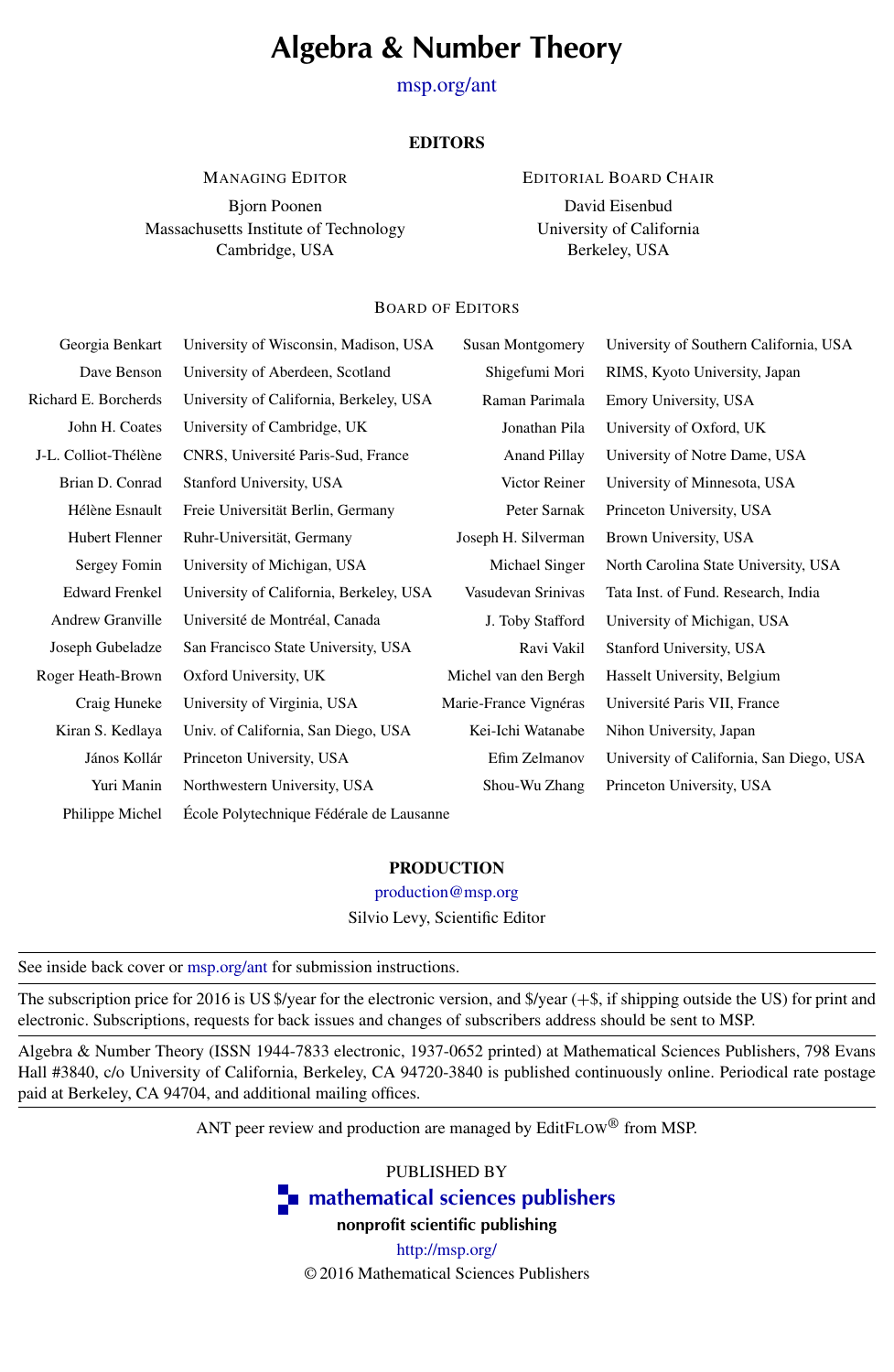# Algebra & Number Theory

[msp.org/ant](http://dx.doi.org/10.2140/ant)

#### **EDITORS**

MANAGING EDITOR

Bjorn Poonen Massachusetts Institute of Technology Cambridge, USA

EDITORIAL BOARD CHAIR

David Eisenbud University of California Berkeley, USA

#### BOARD OF EDITORS

| Georgia Benkart       | University of Wisconsin, Madison, USA    | <b>Susan Montgomery</b> | University of Southern California, USA   |
|-----------------------|------------------------------------------|-------------------------|------------------------------------------|
| Dave Benson           | University of Aberdeen, Scotland         | Shigefumi Mori          | RIMS, Kyoto University, Japan            |
| Richard E. Borcherds  | University of California, Berkeley, USA  | Raman Parimala          | Emory University, USA                    |
| John H. Coates        | University of Cambridge, UK              | Jonathan Pila           | University of Oxford, UK                 |
| J-L. Colliot-Thélène  | CNRS, Université Paris-Sud, France       | <b>Anand Pillay</b>     | University of Notre Dame, USA            |
| Brian D. Conrad       | Stanford University, USA                 | Victor Reiner           | University of Minnesota, USA             |
| Hélène Esnault        | Freie Universität Berlin, Germany        | Peter Sarnak            | Princeton University, USA                |
| Hubert Flenner        | Ruhr-Universität, Germany                | Joseph H. Silverman     | Brown University, USA                    |
| Sergey Fomin          | University of Michigan, USA              | Michael Singer          | North Carolina State University, USA     |
| <b>Edward Frenkel</b> | University of California, Berkeley, USA  | Vasudevan Srinivas      | Tata Inst. of Fund. Research, India      |
| Andrew Granville      | Université de Montréal, Canada           | J. Toby Stafford        | University of Michigan, USA              |
| Joseph Gubeladze      | San Francisco State University, USA      | Ravi Vakil              | Stanford University, USA                 |
| Roger Heath-Brown     | Oxford University, UK                    | Michel van den Bergh    | Hasselt University, Belgium              |
| Craig Huneke          | University of Virginia, USA              | Marie-France Vignéras   | Université Paris VII, France             |
| Kiran S. Kedlaya      | Univ. of California, San Diego, USA      | Kei-Ichi Watanabe       | Nihon University, Japan                  |
| János Kollár          | Princeton University, USA                | Efim Zelmanov           | University of California, San Diego, USA |
| Yuri Manin            | Northwestern University, USA             | Shou-Wu Zhang           | Princeton University, USA                |
| Philippe Michel       | École Polytechnique Fédérale de Lausanne |                         |                                          |

#### PRODUCTION

[production@msp.org](mailto:production@msp.org) Silvio Levy, Scientific Editor

|  |  |  |  |  |  | See inside back cover or msp.org/ant for submission instructions. |  |
|--|--|--|--|--|--|-------------------------------------------------------------------|--|
|  |  |  |  |  |  |                                                                   |  |

The subscription price for 2016 is US \$/year for the electronic version, and \$/year (+\$, if shipping outside the US) for print and electronic. Subscriptions, requests for back issues and changes of subscribers address should be sent to MSP.

Algebra & Number Theory (ISSN 1944-7833 electronic, 1937-0652 printed) at Mathematical Sciences Publishers, 798 Evans Hall #3840, c/o University of California, Berkeley, CA 94720-3840 is published continuously online. Periodical rate postage paid at Berkeley, CA 94704, and additional mailing offices.

ANT peer review and production are managed by EditFLOW<sup>®</sup> from MSP.

PUBLISHED BY

**n** [mathematical sciences publishers](http://msp.org/)

nonprofit scientific publishing

<http://msp.org/> © 2016 Mathematical Sciences Publishers